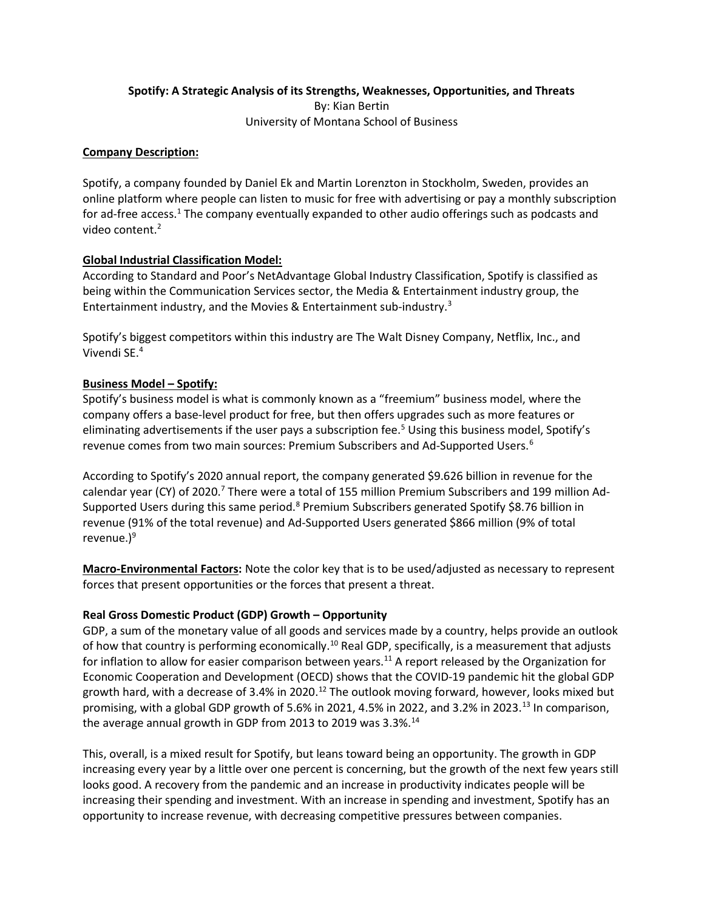## Spotify: A Strategic Analysis of its Strengths, Weaknesses, Opportunities, and Threats By: Kian Bertin University of Montana School of Business

## Company Description:

Spotify, a company founded by Daniel Ek and Martin Lorenzton in Stockholm, Sweden, provides an online platform where people can listen to music for free with advertising or pay a monthly subscription for ad-free access.<sup>1</sup> The company eventually expanded to other audio offerings such as podcasts and video content.<sup>2</sup>

# Global Industrial Classification Model:

According to Standard and Poor's NetAdvantage Global Industry Classification, Spotify is classified as being within the Communication Services sector, the Media & Entertainment industry group, the Entertainment industry, and the Movies & Entertainment sub-industry.<sup>3</sup>

Spotify's biggest competitors within this industry are The Walt Disney Company, Netflix, Inc., and Vivendi SE.<sup>4</sup>

# Business Model – Spotify:

Spotify's business model is what is commonly known as a "freemium" business model, where the company offers a base-level product for free, but then offers upgrades such as more features or eliminating advertisements if the user pays a subscription fee.<sup>5</sup> Using this business model, Spotify's revenue comes from two main sources: Premium Subscribers and Ad-Supported Users.<sup>6</sup>

According to Spotify's 2020 annual report, the company generated \$9.626 billion in revenue for the calendar year (CY) of 2020.<sup>7</sup> There were a total of 155 million Premium Subscribers and 199 million Ad-Supported Users during this same period.<sup>8</sup> Premium Subscribers generated Spotify \$8.76 billion in revenue (91% of the total revenue) and Ad-Supported Users generated \$866 million (9% of total revenue. $)^9$ 

Macro-Environmental Factors: Note the color key that is to be used/adjusted as necessary to represent forces that present opportunities or the forces that present a threat.

## Real Gross Domestic Product (GDP) Growth – Opportunity

GDP, a sum of the monetary value of all goods and services made by a country, helps provide an outlook of how that country is performing economically.<sup>10</sup> Real GDP, specifically, is a measurement that adjusts for inflation to allow for easier comparison between years.<sup>11</sup> A report released by the Organization for Economic Cooperation and Development (OECD) shows that the COVID-19 pandemic hit the global GDP growth hard, with a decrease of 3.4% in 2020.<sup>12</sup> The outlook moving forward, however, looks mixed but promising, with a global GDP growth of 5.6% in 2021, 4.5% in 2022, and 3.2% in 2023.<sup>13</sup> In comparison, the average annual growth in GDP from 2013 to 2019 was 3.3%.<sup>14</sup>

This, overall, is a mixed result for Spotify, but leans toward being an opportunity. The growth in GDP increasing every year by a little over one percent is concerning, but the growth of the next few years still looks good. A recovery from the pandemic and an increase in productivity indicates people will be increasing their spending and investment. With an increase in spending and investment, Spotify has an opportunity to increase revenue, with decreasing competitive pressures between companies.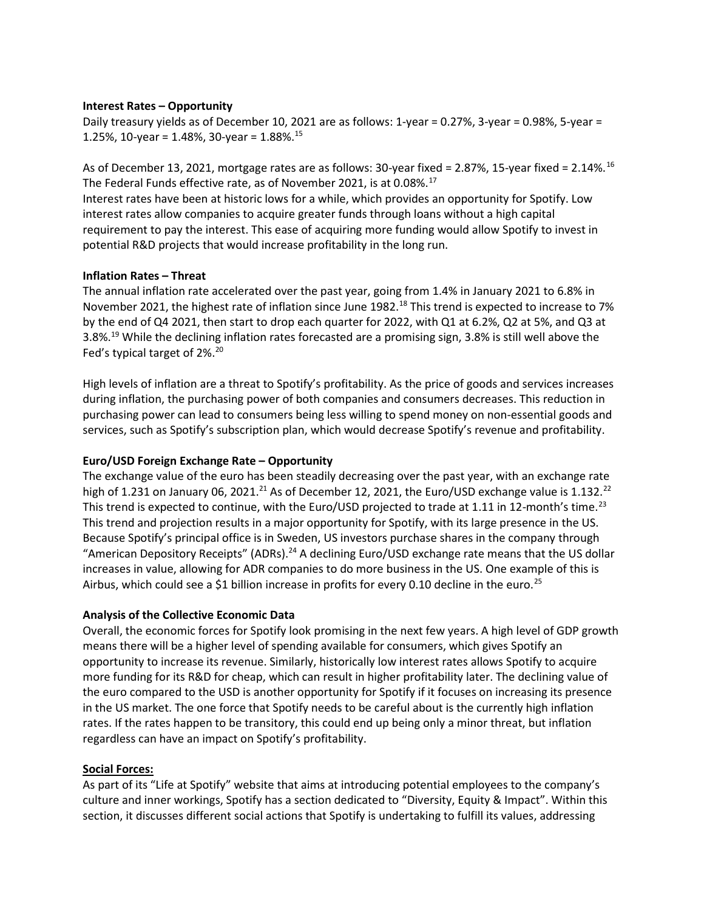### Interest Rates – Opportunity

Daily treasury yields as of December 10, 2021 are as follows: 1-year = 0.27%, 3-year = 0.98%, 5-year = 1.25%, 10-year = 1.48%, 30-year =  $1.88\%$ .<sup>15</sup>

As of December 13, 2021, mortgage rates are as follows: 30-year fixed = 2.87%, 15-year fixed = 2.14%.<sup>16</sup> The Federal Funds effective rate, as of November 2021, is at 0.08%.<sup>17</sup>

Interest rates have been at historic lows for a while, which provides an opportunity for Spotify. Low interest rates allow companies to acquire greater funds through loans without a high capital requirement to pay the interest. This ease of acquiring more funding would allow Spotify to invest in potential R&D projects that would increase profitability in the long run.

### Inflation Rates – Threat

The annual inflation rate accelerated over the past year, going from 1.4% in January 2021 to 6.8% in November 2021, the highest rate of inflation since June 1982.<sup>18</sup> This trend is expected to increase to 7% by the end of Q4 2021, then start to drop each quarter for 2022, with Q1 at 6.2%, Q2 at 5%, and Q3 at 3.8%.<sup>19</sup> While the declining inflation rates forecasted are a promising sign, 3.8% is still well above the Fed's typical target of 2%.<sup>20</sup>

High levels of inflation are a threat to Spotify's profitability. As the price of goods and services increases during inflation, the purchasing power of both companies and consumers decreases. This reduction in purchasing power can lead to consumers being less willing to spend money on non-essential goods and services, such as Spotify's subscription plan, which would decrease Spotify's revenue and profitability.

### Euro/USD Foreign Exchange Rate – Opportunity

The exchange value of the euro has been steadily decreasing over the past year, with an exchange rate high of 1.231 on January 06, 2021.<sup>21</sup> As of December 12, 2021, the Euro/USD exchange value is 1.132.<sup>22</sup> This trend is expected to continue, with the Euro/USD projected to trade at 1.11 in 12-month's time.<sup>23</sup> This trend and projection results in a major opportunity for Spotify, with its large presence in the US. Because Spotify's principal office is in Sweden, US investors purchase shares in the company through "American Depository Receipts" (ADRs).<sup>24</sup> A declining Euro/USD exchange rate means that the US dollar increases in value, allowing for ADR companies to do more business in the US. One example of this is Airbus, which could see a \$1 billion increase in profits for every 0.10 decline in the euro.<sup>25</sup>

### Analysis of the Collective Economic Data

Overall, the economic forces for Spotify look promising in the next few years. A high level of GDP growth means there will be a higher level of spending available for consumers, which gives Spotify an opportunity to increase its revenue. Similarly, historically low interest rates allows Spotify to acquire more funding for its R&D for cheap, which can result in higher profitability later. The declining value of the euro compared to the USD is another opportunity for Spotify if it focuses on increasing its presence in the US market. The one force that Spotify needs to be careful about is the currently high inflation rates. If the rates happen to be transitory, this could end up being only a minor threat, but inflation regardless can have an impact on Spotify's profitability.

#### Social Forces:

As part of its "Life at Spotify" website that aims at introducing potential employees to the company's culture and inner workings, Spotify has a section dedicated to "Diversity, Equity & Impact". Within this section, it discusses different social actions that Spotify is undertaking to fulfill its values, addressing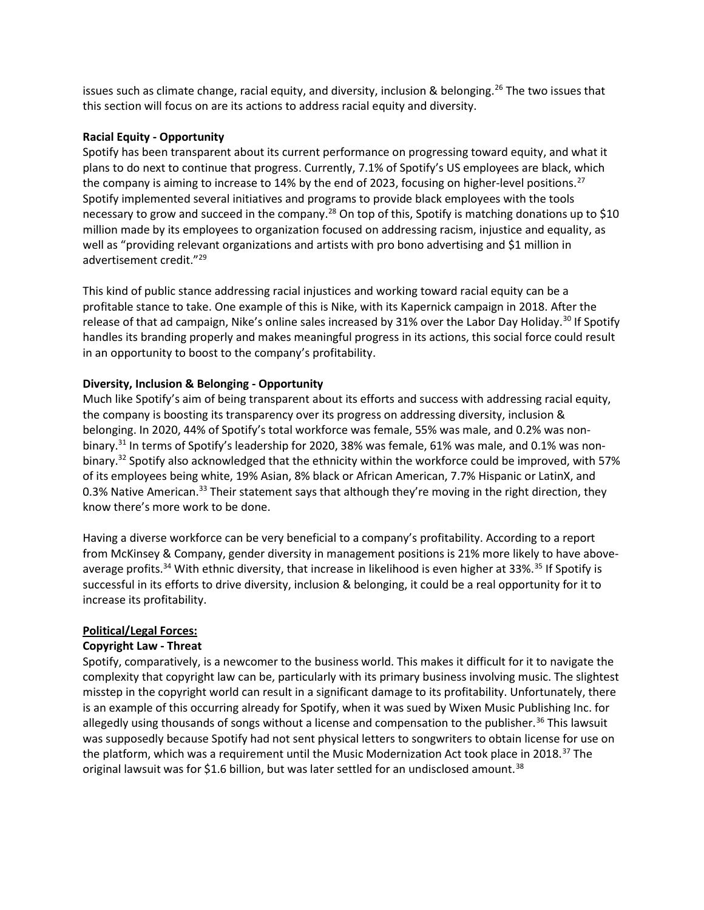issues such as climate change, racial equity, and diversity, inclusion & belonging.<sup>26</sup> The two issues that this section will focus on are its actions to address racial equity and diversity.

### Racial Equity - Opportunity

Spotify has been transparent about its current performance on progressing toward equity, and what it plans to do next to continue that progress. Currently, 7.1% of Spotify's US employees are black, which the company is aiming to increase to 14% by the end of 2023, focusing on higher-level positions.<sup>27</sup> Spotify implemented several initiatives and programs to provide black employees with the tools necessary to grow and succeed in the company.<sup>28</sup> On top of this, Spotify is matching donations up to \$10 million made by its employees to organization focused on addressing racism, injustice and equality, as well as "providing relevant organizations and artists with pro bono advertising and \$1 million in advertisement credit."<sup>29</sup>

This kind of public stance addressing racial injustices and working toward racial equity can be a profitable stance to take. One example of this is Nike, with its Kapernick campaign in 2018. After the release of that ad campaign, Nike's online sales increased by 31% over the Labor Day Holiday.<sup>30</sup> If Spotify handles its branding properly and makes meaningful progress in its actions, this social force could result in an opportunity to boost to the company's profitability.

## Diversity, Inclusion & Belonging - Opportunity

Much like Spotify's aim of being transparent about its efforts and success with addressing racial equity, the company is boosting its transparency over its progress on addressing diversity, inclusion & belonging. In 2020, 44% of Spotify's total workforce was female, 55% was male, and 0.2% was nonbinary.<sup>31</sup> In terms of Spotify's leadership for 2020, 38% was female, 61% was male, and 0.1% was nonbinary.<sup>32</sup> Spotify also acknowledged that the ethnicity within the workforce could be improved, with 57% of its employees being white, 19% Asian, 8% black or African American, 7.7% Hispanic or LatinX, and 0.3% Native American.<sup>33</sup> Their statement says that although they're moving in the right direction, they know there's more work to be done.

Having a diverse workforce can be very beneficial to a company's profitability. According to a report from McKinsey & Company, gender diversity in management positions is 21% more likely to have aboveaverage profits.<sup>34</sup> With ethnic diversity, that increase in likelihood is even higher at 33%.<sup>35</sup> If Spotify is successful in its efforts to drive diversity, inclusion & belonging, it could be a real opportunity for it to increase its profitability.

## Political/Legal Forces:

## Copyright Law - Threat

Spotify, comparatively, is a newcomer to the business world. This makes it difficult for it to navigate the complexity that copyright law can be, particularly with its primary business involving music. The slightest misstep in the copyright world can result in a significant damage to its profitability. Unfortunately, there is an example of this occurring already for Spotify, when it was sued by Wixen Music Publishing Inc. for allegedly using thousands of songs without a license and compensation to the publisher.<sup>36</sup> This lawsuit was supposedly because Spotify had not sent physical letters to songwriters to obtain license for use on the platform, which was a requirement until the Music Modernization Act took place in 2018.<sup>37</sup> The original lawsuit was for \$1.6 billion, but was later settled for an undisclosed amount.<sup>38</sup>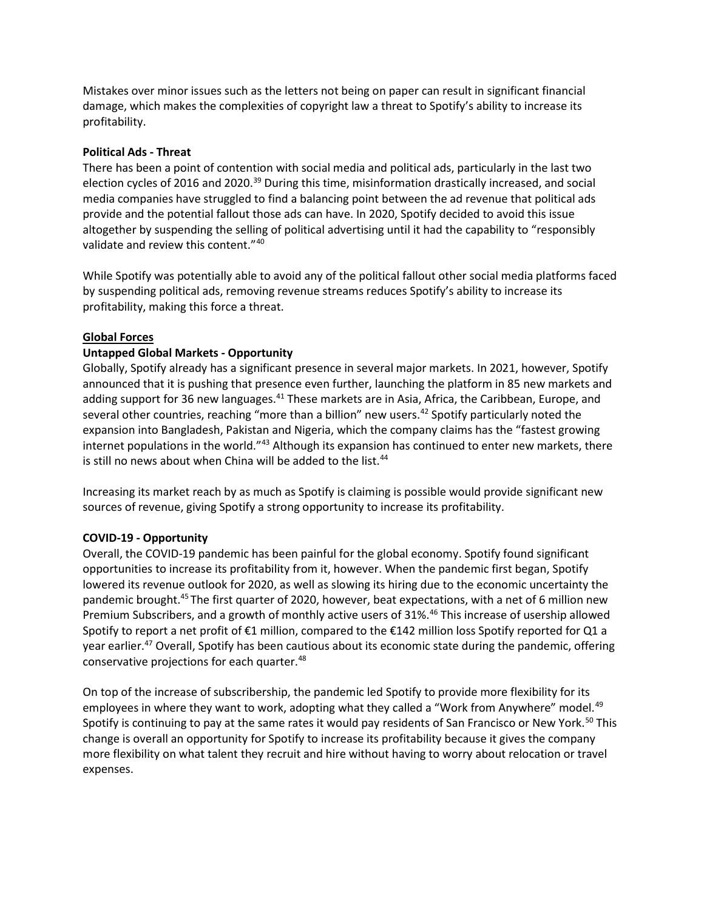Mistakes over minor issues such as the letters not being on paper can result in significant financial damage, which makes the complexities of copyright law a threat to Spotify's ability to increase its profitability.

## Political Ads - Threat

There has been a point of contention with social media and political ads, particularly in the last two election cycles of 2016 and 2020.<sup>39</sup> During this time, misinformation drastically increased, and social media companies have struggled to find a balancing point between the ad revenue that political ads provide and the potential fallout those ads can have. In 2020, Spotify decided to avoid this issue altogether by suspending the selling of political advertising until it had the capability to "responsibly validate and review this content."<sup>40</sup>

While Spotify was potentially able to avoid any of the political fallout other social media platforms faced by suspending political ads, removing revenue streams reduces Spotify's ability to increase its profitability, making this force a threat.

### Global Forces

## Untapped Global Markets - Opportunity

Globally, Spotify already has a significant presence in several major markets. In 2021, however, Spotify announced that it is pushing that presence even further, launching the platform in 85 new markets and adding support for 36 new languages.<sup>41</sup> These markets are in Asia, Africa, the Caribbean, Europe, and several other countries, reaching "more than a billion" new users.<sup>42</sup> Spotify particularly noted the expansion into Bangladesh, Pakistan and Nigeria, which the company claims has the "fastest growing internet populations in the world."<sup>43</sup> Although its expansion has continued to enter new markets, there is still no news about when China will be added to the list.<sup>44</sup>

Increasing its market reach by as much as Spotify is claiming is possible would provide significant new sources of revenue, giving Spotify a strong opportunity to increase its profitability.

## COVID-19 - Opportunity

Overall, the COVID-19 pandemic has been painful for the global economy. Spotify found significant opportunities to increase its profitability from it, however. When the pandemic first began, Spotify lowered its revenue outlook for 2020, as well as slowing its hiring due to the economic uncertainty the pandemic brought.<sup>45</sup>The first quarter of 2020, however, beat expectations, with a net of 6 million new Premium Subscribers, and a growth of monthly active users of 31%.<sup>46</sup> This increase of usership allowed Spotify to report a net profit of €1 million, compared to the €142 million loss Spotify reported for Q1 a year earlier.<sup>47</sup> Overall, Spotify has been cautious about its economic state during the pandemic, offering conservative projections for each quarter.<sup>48</sup>

On top of the increase of subscribership, the pandemic led Spotify to provide more flexibility for its employees in where they want to work, adopting what they called a "Work from Anywhere" model.<sup>49</sup> Spotify is continuing to pay at the same rates it would pay residents of San Francisco or New York.<sup>50</sup> This change is overall an opportunity for Spotify to increase its profitability because it gives the company more flexibility on what talent they recruit and hire without having to worry about relocation or travel expenses.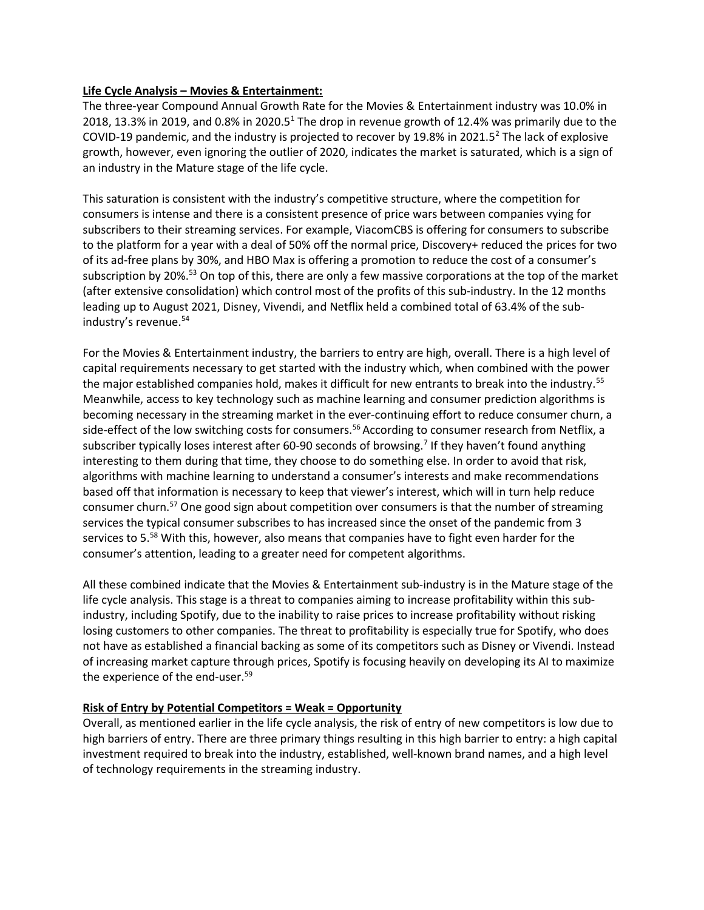## Life Cycle Analysis – Movies & Entertainment:

The three-year Compound Annual Growth Rate for the Movies & Entertainment industry was 10.0% in 2018, 13.3% in 2019, and 0.8% in 2020.5<sup>1</sup> The drop in revenue growth of 12.4% was primarily due to the COVID-19 pandemic, and the industry is projected to recover by 19.8% in 2021.5<sup>2</sup> The lack of explosive growth, however, even ignoring the outlier of 2020, indicates the market is saturated, which is a sign of an industry in the Mature stage of the life cycle.

This saturation is consistent with the industry's competitive structure, where the competition for consumers is intense and there is a consistent presence of price wars between companies vying for subscribers to their streaming services. For example, ViacomCBS is offering for consumers to subscribe to the platform for a year with a deal of 50% off the normal price, Discovery+ reduced the prices for two of its ad-free plans by 30%, and HBO Max is offering a promotion to reduce the cost of a consumer's subscription by 20%.<sup>53</sup> On top of this, there are only a few massive corporations at the top of the market (after extensive consolidation) which control most of the profits of this sub-industry. In the 12 months leading up to August 2021, Disney, Vivendi, and Netflix held a combined total of 63.4% of the subindustry's revenue.<sup>54</sup>

For the Movies & Entertainment industry, the barriers to entry are high, overall. There is a high level of capital requirements necessary to get started with the industry which, when combined with the power the major established companies hold, makes it difficult for new entrants to break into the industry.<sup>55</sup> Meanwhile, access to key technology such as machine learning and consumer prediction algorithms is becoming necessary in the streaming market in the ever-continuing effort to reduce consumer churn, a side-effect of the low switching costs for consumers.<sup>56</sup> According to consumer research from Netflix, a subscriber typically loses interest after 60-90 seconds of browsing.<sup>7</sup> If they haven't found anything interesting to them during that time, they choose to do something else. In order to avoid that risk, algorithms with machine learning to understand a consumer's interests and make recommendations based off that information is necessary to keep that viewer's interest, which will in turn help reduce consumer churn.<sup>57</sup> One good sign about competition over consumers is that the number of streaming services the typical consumer subscribes to has increased since the onset of the pandemic from 3 services to 5.<sup>58</sup> With this, however, also means that companies have to fight even harder for the consumer's attention, leading to a greater need for competent algorithms.

All these combined indicate that the Movies & Entertainment sub-industry is in the Mature stage of the life cycle analysis. This stage is a threat to companies aiming to increase profitability within this subindustry, including Spotify, due to the inability to raise prices to increase profitability without risking losing customers to other companies. The threat to profitability is especially true for Spotify, who does not have as established a financial backing as some of its competitors such as Disney or Vivendi. Instead of increasing market capture through prices, Spotify is focusing heavily on developing its AI to maximize the experience of the end-user.<sup>59</sup>

## Risk of Entry by Potential Competitors = Weak = Opportunity

Overall, as mentioned earlier in the life cycle analysis, the risk of entry of new competitors is low due to high barriers of entry. There are three primary things resulting in this high barrier to entry: a high capital investment required to break into the industry, established, well-known brand names, and a high level of technology requirements in the streaming industry.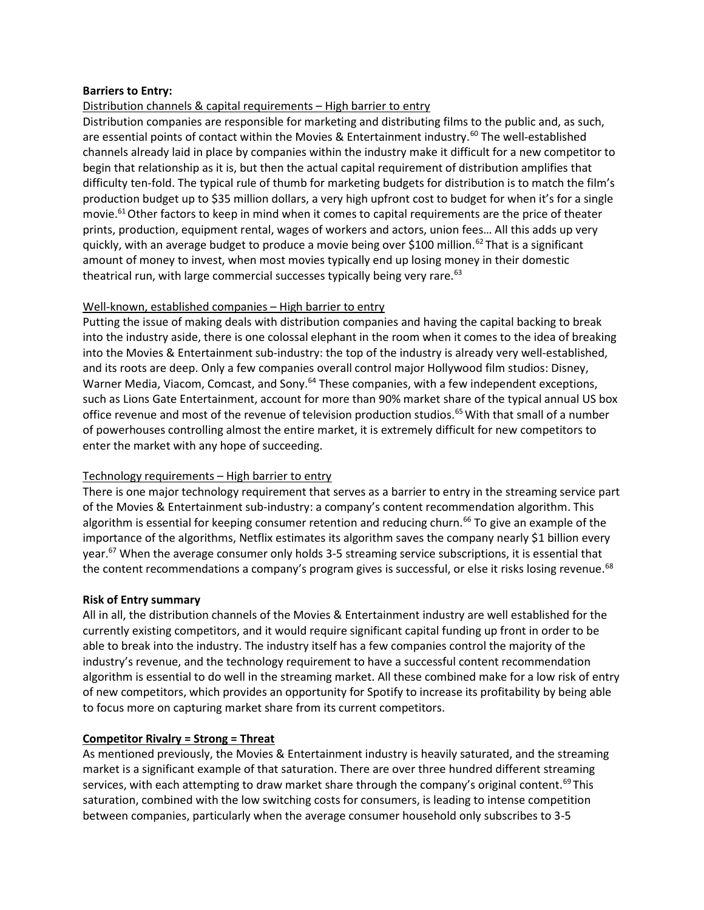### Barriers to Entry:

## Distribution channels & capital requirements – High barrier to entry

Distribution companies are responsible for marketing and distributing films to the public and, as such, are essential points of contact within the Movies & Entertainment industry.<sup>60</sup> The well-established channels already laid in place by companies within the industry make it difficult for a new competitor to begin that relationship as it is, but then the actual capital requirement of distribution amplifies that difficulty ten-fold. The typical rule of thumb for marketing budgets for distribution is to match the film's production budget up to \$35 million dollars, a very high upfront cost to budget for when it's for a single movie.<sup>61</sup> Other factors to keep in mind when it comes to capital requirements are the price of theater prints, production, equipment rental, wages of workers and actors, union fees… All this adds up very quickly, with an average budget to produce a movie being over \$100 million.<sup>62</sup> That is a significant amount of money to invest, when most movies typically end up losing money in their domestic theatrical run, with large commercial successes typically being very rare.<sup>63</sup>

### Well-known, established companies – High barrier to entry

Putting the issue of making deals with distribution companies and having the capital backing to break into the industry aside, there is one colossal elephant in the room when it comes to the idea of breaking into the Movies & Entertainment sub-industry: the top of the industry is already very well-established, and its roots are deep. Only a few companies overall control major Hollywood film studios: Disney, Warner Media, Viacom, Comcast, and Sony.<sup>64</sup> These companies, with a few independent exceptions, such as Lions Gate Entertainment, account for more than 90% market share of the typical annual US box office revenue and most of the revenue of television production studios.<sup>65</sup> With that small of a number of powerhouses controlling almost the entire market, it is extremely difficult for new competitors to enter the market with any hope of succeeding.

## Technology requirements – High barrier to entry

There is one major technology requirement that serves as a barrier to entry in the streaming service part of the Movies & Entertainment sub-industry: a company's content recommendation algorithm. This algorithm is essential for keeping consumer retention and reducing churn.<sup>66</sup> To give an example of the importance of the algorithms, Netflix estimates its algorithm saves the company nearly \$1 billion every year.<sup>67</sup> When the average consumer only holds 3-5 streaming service subscriptions, it is essential that the content recommendations a company's program gives is successful, or else it risks losing revenue.<sup>68</sup>

#### Risk of Entry summary

All in all, the distribution channels of the Movies & Entertainment industry are well established for the currently existing competitors, and it would require significant capital funding up front in order to be able to break into the industry. The industry itself has a few companies control the majority of the industry's revenue, and the technology requirement to have a successful content recommendation algorithm is essential to do well in the streaming market. All these combined make for a low risk of entry of new competitors, which provides an opportunity for Spotify to increase its profitability by being able to focus more on capturing market share from its current competitors.

## Competitor Rivalry = Strong = Threat

As mentioned previously, the Movies & Entertainment industry is heavily saturated, and the streaming market is a significant example of that saturation. There are over three hundred different streaming services, with each attempting to draw market share through the company's original content.<sup>69</sup>This saturation, combined with the low switching costs for consumers, is leading to intense competition between companies, particularly when the average consumer household only subscribes to 3-5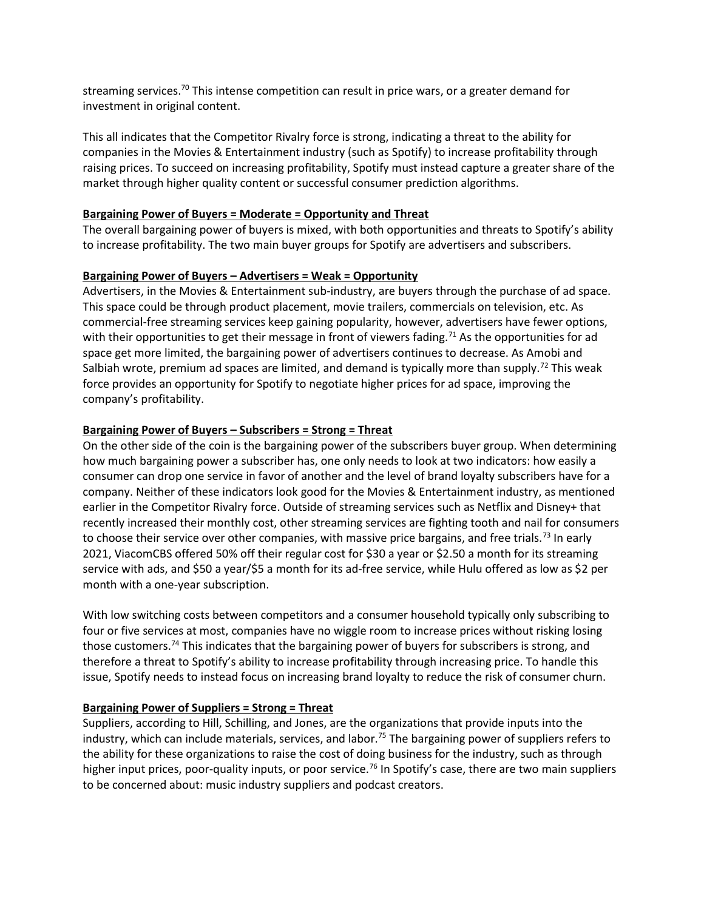streaming services.<sup>70</sup> This intense competition can result in price wars, or a greater demand for investment in original content.

This all indicates that the Competitor Rivalry force is strong, indicating a threat to the ability for companies in the Movies & Entertainment industry (such as Spotify) to increase profitability through raising prices. To succeed on increasing profitability, Spotify must instead capture a greater share of the market through higher quality content or successful consumer prediction algorithms.

### Bargaining Power of Buyers = Moderate = Opportunity and Threat

The overall bargaining power of buyers is mixed, with both opportunities and threats to Spotify's ability to increase profitability. The two main buyer groups for Spotify are advertisers and subscribers.

### Bargaining Power of Buyers – Advertisers = Weak = Opportunity

Advertisers, in the Movies & Entertainment sub-industry, are buyers through the purchase of ad space. This space could be through product placement, movie trailers, commercials on television, etc. As commercial-free streaming services keep gaining popularity, however, advertisers have fewer options, with their opportunities to get their message in front of viewers fading.<sup>71</sup> As the opportunities for ad space get more limited, the bargaining power of advertisers continues to decrease. As Amobi and Salbiah wrote, premium ad spaces are limited, and demand is typically more than supply.<sup>72</sup> This weak force provides an opportunity for Spotify to negotiate higher prices for ad space, improving the company's profitability.

## Bargaining Power of Buyers – Subscribers = Strong = Threat

On the other side of the coin is the bargaining power of the subscribers buyer group. When determining how much bargaining power a subscriber has, one only needs to look at two indicators: how easily a consumer can drop one service in favor of another and the level of brand loyalty subscribers have for a company. Neither of these indicators look good for the Movies & Entertainment industry, as mentioned earlier in the Competitor Rivalry force. Outside of streaming services such as Netflix and Disney+ that recently increased their monthly cost, other streaming services are fighting tooth and nail for consumers to choose their service over other companies, with massive price bargains, and free trials.<sup>73</sup> In early 2021, ViacomCBS offered 50% off their regular cost for \$30 a year or \$2.50 a month for its streaming service with ads, and \$50 a year/\$5 a month for its ad-free service, while Hulu offered as low as \$2 per month with a one-year subscription.

With low switching costs between competitors and a consumer household typically only subscribing to four or five services at most, companies have no wiggle room to increase prices without risking losing those customers.<sup>74</sup> This indicates that the bargaining power of buyers for subscribers is strong, and therefore a threat to Spotify's ability to increase profitability through increasing price. To handle this issue, Spotify needs to instead focus on increasing brand loyalty to reduce the risk of consumer churn.

## Bargaining Power of Suppliers = Strong = Threat

Suppliers, according to Hill, Schilling, and Jones, are the organizations that provide inputs into the industry, which can include materials, services, and labor.<sup>75</sup> The bargaining power of suppliers refers to the ability for these organizations to raise the cost of doing business for the industry, such as through higher input prices, poor-quality inputs, or poor service.<sup>76</sup> In Spotify's case, there are two main suppliers to be concerned about: music industry suppliers and podcast creators.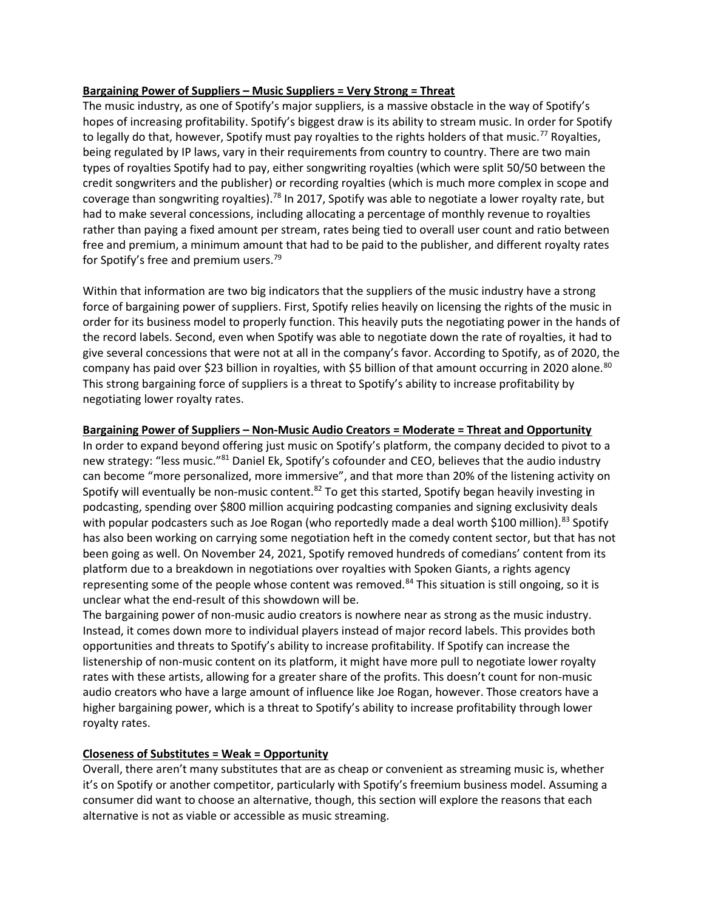## Bargaining Power of Suppliers – Music Suppliers = Very Strong = Threat

The music industry, as one of Spotify's major suppliers, is a massive obstacle in the way of Spotify's hopes of increasing profitability. Spotify's biggest draw is its ability to stream music. In order for Spotify to legally do that, however, Spotify must pay royalties to the rights holders of that music.<sup>77</sup> Royalties, being regulated by IP laws, vary in their requirements from country to country. There are two main types of royalties Spotify had to pay, either songwriting royalties (which were split 50/50 between the credit songwriters and the publisher) or recording royalties (which is much more complex in scope and coverage than songwriting royalties).<sup>78</sup> In 2017, Spotify was able to negotiate a lower royalty rate, but had to make several concessions, including allocating a percentage of monthly revenue to royalties rather than paying a fixed amount per stream, rates being tied to overall user count and ratio between free and premium, a minimum amount that had to be paid to the publisher, and different royalty rates for Spotify's free and premium users.<sup>79</sup>

Within that information are two big indicators that the suppliers of the music industry have a strong force of bargaining power of suppliers. First, Spotify relies heavily on licensing the rights of the music in order for its business model to properly function. This heavily puts the negotiating power in the hands of the record labels. Second, even when Spotify was able to negotiate down the rate of royalties, it had to give several concessions that were not at all in the company's favor. According to Spotify, as of 2020, the company has paid over \$23 billion in royalties, with \$5 billion of that amount occurring in 2020 alone.<sup>80</sup> This strong bargaining force of suppliers is a threat to Spotify's ability to increase profitability by negotiating lower royalty rates.

# Bargaining Power of Suppliers – Non-Music Audio Creators = Moderate = Threat and Opportunity

In order to expand beyond offering just music on Spotify's platform, the company decided to pivot to a new strategy: "less music."81 Daniel Ek, Spotify's cofounder and CEO, believes that the audio industry can become "more personalized, more immersive", and that more than 20% of the listening activity on Spotify will eventually be non-music content. $82$  To get this started, Spotify began heavily investing in podcasting, spending over \$800 million acquiring podcasting companies and signing exclusivity deals with popular podcasters such as Joe Rogan (who reportedly made a deal worth \$100 million).<sup>83</sup> Spotify has also been working on carrying some negotiation heft in the comedy content sector, but that has not been going as well. On November 24, 2021, Spotify removed hundreds of comedians' content from its platform due to a breakdown in negotiations over royalties with Spoken Giants, a rights agency representing some of the people whose content was removed.<sup>84</sup> This situation is still ongoing, so it is unclear what the end-result of this showdown will be.

The bargaining power of non-music audio creators is nowhere near as strong as the music industry. Instead, it comes down more to individual players instead of major record labels. This provides both opportunities and threats to Spotify's ability to increase profitability. If Spotify can increase the listenership of non-music content on its platform, it might have more pull to negotiate lower royalty rates with these artists, allowing for a greater share of the profits. This doesn't count for non-music audio creators who have a large amount of influence like Joe Rogan, however. Those creators have a higher bargaining power, which is a threat to Spotify's ability to increase profitability through lower royalty rates.

## Closeness of Substitutes = Weak = Opportunity

Overall, there aren't many substitutes that are as cheap or convenient as streaming music is, whether it's on Spotify or another competitor, particularly with Spotify's freemium business model. Assuming a consumer did want to choose an alternative, though, this section will explore the reasons that each alternative is not as viable or accessible as music streaming.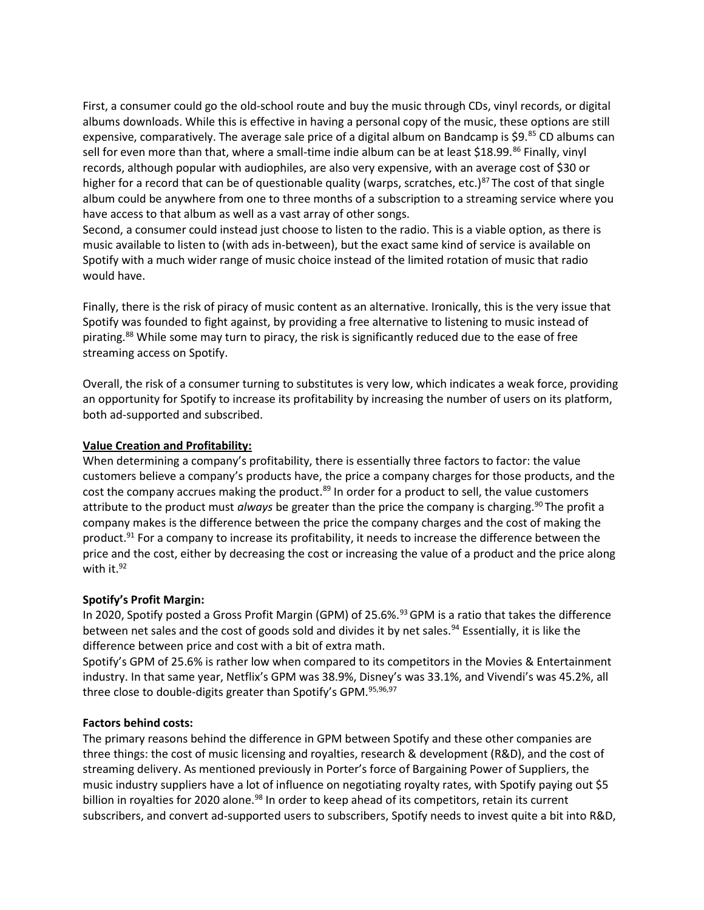First, a consumer could go the old-school route and buy the music through CDs, vinyl records, or digital albums downloads. While this is effective in having a personal copy of the music, these options are still expensive, comparatively. The average sale price of a digital album on Bandcamp is \$9. $^{85}$  CD albums can sell for even more than that, where a small-time indie album can be at least \$18.99.<sup>86</sup> Finally, vinyl records, although popular with audiophiles, are also very expensive, with an average cost of \$30 or higher for a record that can be of questionable quality (warps, scratches, etc.)<sup>87</sup>The cost of that single album could be anywhere from one to three months of a subscription to a streaming service where you have access to that album as well as a vast array of other songs.

Second, a consumer could instead just choose to listen to the radio. This is a viable option, as there is music available to listen to (with ads in-between), but the exact same kind of service is available on Spotify with a much wider range of music choice instead of the limited rotation of music that radio would have.

Finally, there is the risk of piracy of music content as an alternative. Ironically, this is the very issue that Spotify was founded to fight against, by providing a free alternative to listening to music instead of pirating.<sup>88</sup> While some may turn to piracy, the risk is significantly reduced due to the ease of free streaming access on Spotify.

Overall, the risk of a consumer turning to substitutes is very low, which indicates a weak force, providing an opportunity for Spotify to increase its profitability by increasing the number of users on its platform, both ad-supported and subscribed.

### Value Creation and Profitability:

When determining a company's profitability, there is essentially three factors to factor: the value customers believe a company's products have, the price a company charges for those products, and the cost the company accrues making the product.<sup>89</sup> In order for a product to sell, the value customers attribute to the product must *always* be greater than the price the company is charging.<sup>90</sup>The profit a company makes is the difference between the price the company charges and the cost of making the product.<sup>91</sup> For a company to increase its profitability, it needs to increase the difference between the price and the cost, either by decreasing the cost or increasing the value of a product and the price along with it.<sup>92</sup>

#### Spotify's Profit Margin:

In 2020, Spotify posted a Gross Profit Margin (GPM) of 25.6%.<sup>93</sup> GPM is a ratio that takes the difference between net sales and the cost of goods sold and divides it by net sales.<sup>94</sup> Essentially, it is like the difference between price and cost with a bit of extra math.

Spotify's GPM of 25.6% is rather low when compared to its competitors in the Movies & Entertainment industry. In that same year, Netflix's GPM was 38.9%, Disney's was 33.1%, and Vivendi's was 45.2%, all three close to double-digits greater than Spotify's GPM.<sup>95,96,97</sup>

#### Factors behind costs:

The primary reasons behind the difference in GPM between Spotify and these other companies are three things: the cost of music licensing and royalties, research & development (R&D), and the cost of streaming delivery. As mentioned previously in Porter's force of Bargaining Power of Suppliers, the music industry suppliers have a lot of influence on negotiating royalty rates, with Spotify paying out \$5 billion in royalties for 2020 alone.<sup>98</sup> In order to keep ahead of its competitors, retain its current subscribers, and convert ad-supported users to subscribers, Spotify needs to invest quite a bit into R&D,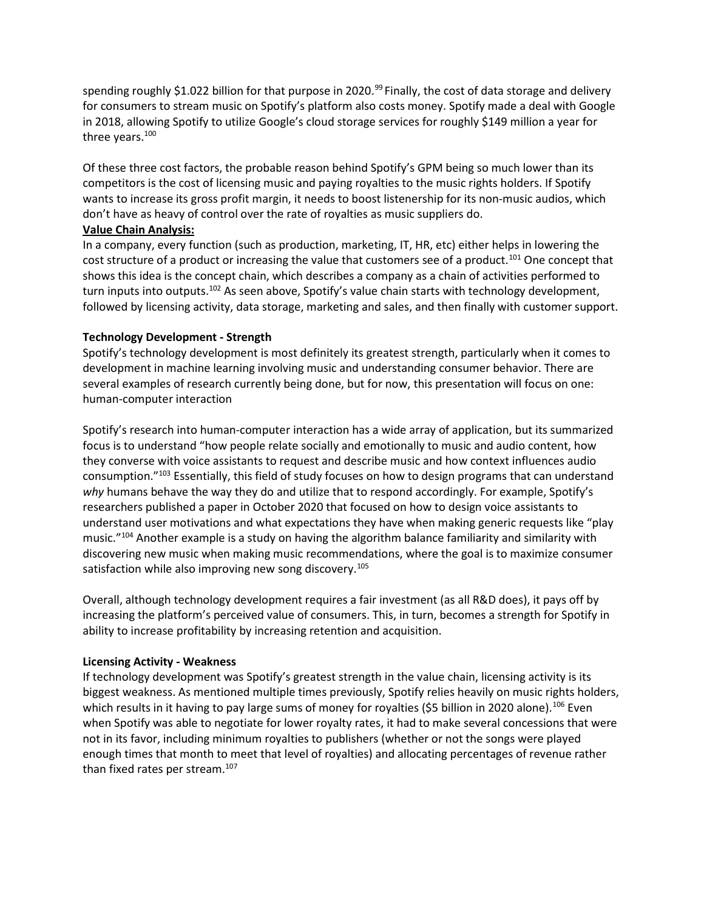spending roughly \$1.022 billion for that purpose in 2020.<sup>99</sup> Finally, the cost of data storage and delivery for consumers to stream music on Spotify's platform also costs money. Spotify made a deal with Google in 2018, allowing Spotify to utilize Google's cloud storage services for roughly \$149 million a year for three years.<sup>100</sup>

Of these three cost factors, the probable reason behind Spotify's GPM being so much lower than its competitors is the cost of licensing music and paying royalties to the music rights holders. If Spotify wants to increase its gross profit margin, it needs to boost listenership for its non-music audios, which don't have as heavy of control over the rate of royalties as music suppliers do.

# Value Chain Analysis:

In a company, every function (such as production, marketing, IT, HR, etc) either helps in lowering the cost structure of a product or increasing the value that customers see of a product.<sup>101</sup> One concept that shows this idea is the concept chain, which describes a company as a chain of activities performed to turn inputs into outputs.<sup>102</sup> As seen above, Spotify's value chain starts with technology development, followed by licensing activity, data storage, marketing and sales, and then finally with customer support.

# Technology Development - Strength

Spotify's technology development is most definitely its greatest strength, particularly when it comes to development in machine learning involving music and understanding consumer behavior. There are several examples of research currently being done, but for now, this presentation will focus on one: human-computer interaction

Spotify's research into human-computer interaction has a wide array of application, but its summarized focus is to understand "how people relate socially and emotionally to music and audio content, how they converse with voice assistants to request and describe music and how context influences audio consumption."<sup>103</sup> Essentially, this field of study focuses on how to design programs that can understand why humans behave the way they do and utilize that to respond accordingly. For example, Spotify's researchers published a paper in October 2020 that focused on how to design voice assistants to understand user motivations and what expectations they have when making generic requests like "play music."<sup>104</sup> Another example is a study on having the algorithm balance familiarity and similarity with discovering new music when making music recommendations, where the goal is to maximize consumer satisfaction while also improving new song discovery.<sup>105</sup>

Overall, although technology development requires a fair investment (as all R&D does), it pays off by increasing the platform's perceived value of consumers. This, in turn, becomes a strength for Spotify in ability to increase profitability by increasing retention and acquisition.

# Licensing Activity - Weakness

If technology development was Spotify's greatest strength in the value chain, licensing activity is its biggest weakness. As mentioned multiple times previously, Spotify relies heavily on music rights holders, which results in it having to pay large sums of money for royalties (\$5 billion in 2020 alone).<sup>106</sup> Even when Spotify was able to negotiate for lower royalty rates, it had to make several concessions that were not in its favor, including minimum royalties to publishers (whether or not the songs were played enough times that month to meet that level of royalties) and allocating percentages of revenue rather than fixed rates per stream.<sup>107</sup>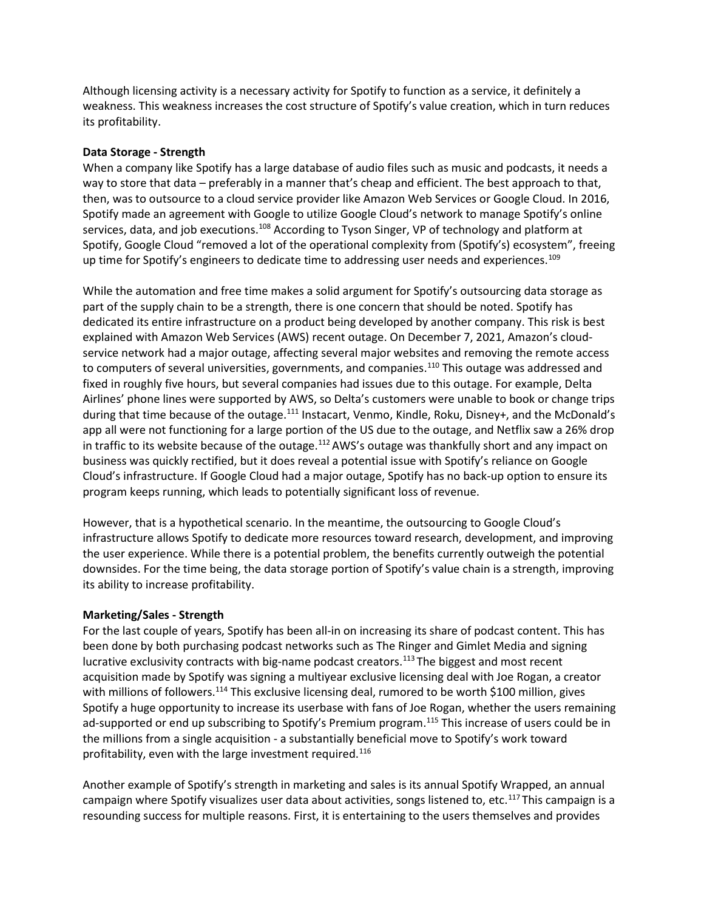Although licensing activity is a necessary activity for Spotify to function as a service, it definitely a weakness. This weakness increases the cost structure of Spotify's value creation, which in turn reduces its profitability.

#### Data Storage - Strength

When a company like Spotify has a large database of audio files such as music and podcasts, it needs a way to store that data – preferably in a manner that's cheap and efficient. The best approach to that, then, was to outsource to a cloud service provider like Amazon Web Services or Google Cloud. In 2016, Spotify made an agreement with Google to utilize Google Cloud's network to manage Spotify's online services, data, and job executions.<sup>108</sup> According to Tyson Singer, VP of technology and platform at Spotify, Google Cloud "removed a lot of the operational complexity from (Spotify's) ecosystem", freeing up time for Spotify's engineers to dedicate time to addressing user needs and experiences.<sup>109</sup>

While the automation and free time makes a solid argument for Spotify's outsourcing data storage as part of the supply chain to be a strength, there is one concern that should be noted. Spotify has dedicated its entire infrastructure on a product being developed by another company. This risk is best explained with Amazon Web Services (AWS) recent outage. On December 7, 2021, Amazon's cloudservice network had a major outage, affecting several major websites and removing the remote access to computers of several universities, governments, and companies.<sup>110</sup> This outage was addressed and fixed in roughly five hours, but several companies had issues due to this outage. For example, Delta Airlines' phone lines were supported by AWS, so Delta's customers were unable to book or change trips during that time because of the outage.<sup>111</sup> Instacart, Venmo, Kindle, Roku, Disney+, and the McDonald's app all were not functioning for a large portion of the US due to the outage, and Netflix saw a 26% drop in traffic to its website because of the outage.<sup>112</sup> AWS's outage was thankfully short and any impact on business was quickly rectified, but it does reveal a potential issue with Spotify's reliance on Google Cloud's infrastructure. If Google Cloud had a major outage, Spotify has no back-up option to ensure its program keeps running, which leads to potentially significant loss of revenue.

However, that is a hypothetical scenario. In the meantime, the outsourcing to Google Cloud's infrastructure allows Spotify to dedicate more resources toward research, development, and improving the user experience. While there is a potential problem, the benefits currently outweigh the potential downsides. For the time being, the data storage portion of Spotify's value chain is a strength, improving its ability to increase profitability.

#### Marketing/Sales - Strength

For the last couple of years, Spotify has been all-in on increasing its share of podcast content. This has been done by both purchasing podcast networks such as The Ringer and Gimlet Media and signing lucrative exclusivity contracts with big-name podcast creators.<sup>113</sup> The biggest and most recent acquisition made by Spotify was signing a multiyear exclusive licensing deal with Joe Rogan, a creator with millions of followers.<sup>114</sup> This exclusive licensing deal, rumored to be worth \$100 million, gives Spotify a huge opportunity to increase its userbase with fans of Joe Rogan, whether the users remaining ad-supported or end up subscribing to Spotify's Premium program.<sup>115</sup> This increase of users could be in the millions from a single acquisition - a substantially beneficial move to Spotify's work toward profitability, even with the large investment required.<sup>116</sup>

Another example of Spotify's strength in marketing and sales is its annual Spotify Wrapped, an annual campaign where Spotify visualizes user data about activities, songs listened to, etc.<sup>117</sup>This campaign is a resounding success for multiple reasons. First, it is entertaining to the users themselves and provides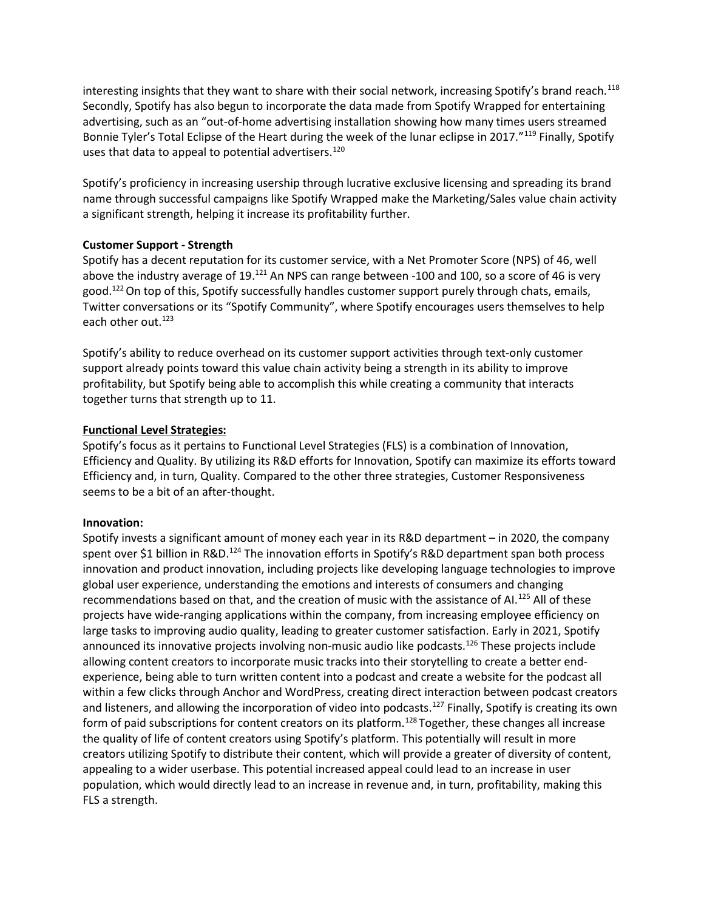interesting insights that they want to share with their social network, increasing Spotify's brand reach.<sup>118</sup> Secondly, Spotify has also begun to incorporate the data made from Spotify Wrapped for entertaining advertising, such as an "out-of-home advertising installation showing how many times users streamed Bonnie Tyler's Total Eclipse of the Heart during the week of the lunar eclipse in 2017."<sup>119</sup> Finally, Spotify uses that data to appeal to potential advertisers.<sup>120</sup>

Spotify's proficiency in increasing usership through lucrative exclusive licensing and spreading its brand name through successful campaigns like Spotify Wrapped make the Marketing/Sales value chain activity a significant strength, helping it increase its profitability further.

# Customer Support - Strength

Spotify has a decent reputation for its customer service, with a Net Promoter Score (NPS) of 46, well above the industry average of 19.<sup>121</sup> An NPS can range between -100 and 100, so a score of 46 is very good.<sup>122</sup> On top of this, Spotify successfully handles customer support purely through chats, emails, Twitter conversations or its "Spotify Community", where Spotify encourages users themselves to help each other out.<sup>123</sup>

Spotify's ability to reduce overhead on its customer support activities through text-only customer support already points toward this value chain activity being a strength in its ability to improve profitability, but Spotify being able to accomplish this while creating a community that interacts together turns that strength up to 11.

# Functional Level Strategies:

Spotify's focus as it pertains to Functional Level Strategies (FLS) is a combination of Innovation, Efficiency and Quality. By utilizing its R&D efforts for Innovation, Spotify can maximize its efforts toward Efficiency and, in turn, Quality. Compared to the other three strategies, Customer Responsiveness seems to be a bit of an after-thought.

## Innovation:

Spotify invests a significant amount of money each year in its R&D department – in 2020, the company spent over \$1 billion in R&D.<sup>124</sup> The innovation efforts in Spotify's R&D department span both process innovation and product innovation, including projects like developing language technologies to improve global user experience, understanding the emotions and interests of consumers and changing recommendations based on that, and the creation of music with the assistance of AI.<sup>125</sup> All of these projects have wide-ranging applications within the company, from increasing employee efficiency on large tasks to improving audio quality, leading to greater customer satisfaction. Early in 2021, Spotify announced its innovative projects involving non-music audio like podcasts.<sup>126</sup> These projects include allowing content creators to incorporate music tracks into their storytelling to create a better endexperience, being able to turn written content into a podcast and create a website for the podcast all within a few clicks through Anchor and WordPress, creating direct interaction between podcast creators and listeners, and allowing the incorporation of video into podcasts.<sup>127</sup> Finally, Spotify is creating its own form of paid subscriptions for content creators on its platform.<sup>128</sup> Together, these changes all increase the quality of life of content creators using Spotify's platform. This potentially will result in more creators utilizing Spotify to distribute their content, which will provide a greater of diversity of content, appealing to a wider userbase. This potential increased appeal could lead to an increase in user population, which would directly lead to an increase in revenue and, in turn, profitability, making this FLS a strength.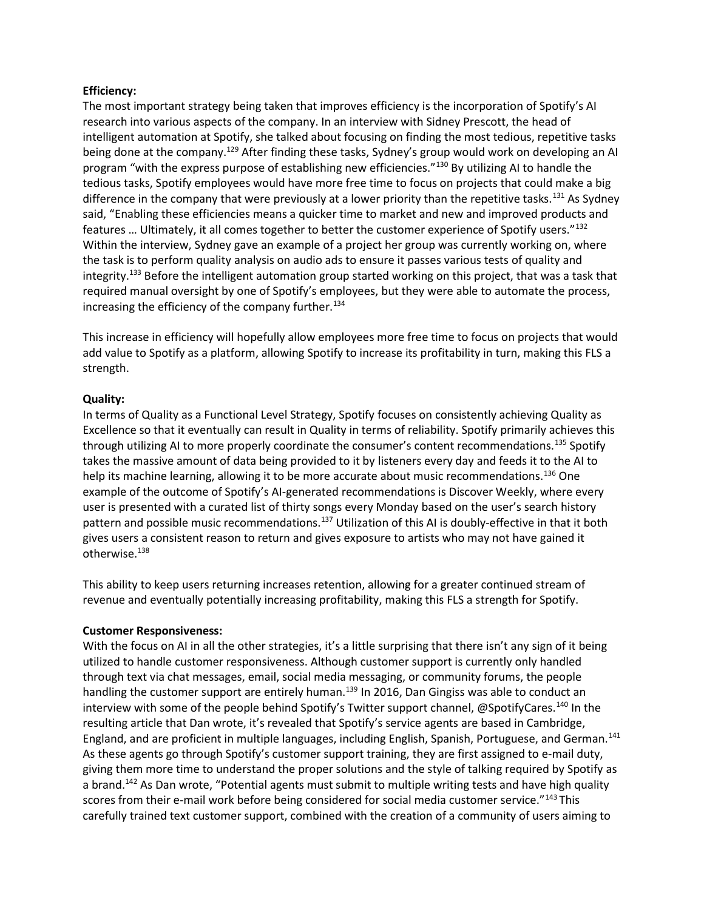### Efficiency:

The most important strategy being taken that improves efficiency is the incorporation of Spotify's AI research into various aspects of the company. In an interview with Sidney Prescott, the head of intelligent automation at Spotify, she talked about focusing on finding the most tedious, repetitive tasks being done at the company.<sup>129</sup> After finding these tasks, Sydney's group would work on developing an AI program "with the express purpose of establishing new efficiencies."<sup>130</sup> By utilizing AI to handle the tedious tasks, Spotify employees would have more free time to focus on projects that could make a big difference in the company that were previously at a lower priority than the repetitive tasks.<sup>131</sup> As Sydney said, "Enabling these efficiencies means a quicker time to market and new and improved products and features … Ultimately, it all comes together to better the customer experience of Spotify users."<sup>132</sup> Within the interview, Sydney gave an example of a project her group was currently working on, where the task is to perform quality analysis on audio ads to ensure it passes various tests of quality and integrity.<sup>133</sup> Before the intelligent automation group started working on this project, that was a task that required manual oversight by one of Spotify's employees, but they were able to automate the process, increasing the efficiency of the company further. $^{134}$ 

This increase in efficiency will hopefully allow employees more free time to focus on projects that would add value to Spotify as a platform, allowing Spotify to increase its profitability in turn, making this FLS a strength.

### Quality:

In terms of Quality as a Functional Level Strategy, Spotify focuses on consistently achieving Quality as Excellence so that it eventually can result in Quality in terms of reliability. Spotify primarily achieves this through utilizing AI to more properly coordinate the consumer's content recommendations.<sup>135</sup> Spotify takes the massive amount of data being provided to it by listeners every day and feeds it to the AI to help its machine learning, allowing it to be more accurate about music recommendations.<sup>136</sup> One example of the outcome of Spotify's AI-generated recommendations is Discover Weekly, where every user is presented with a curated list of thirty songs every Monday based on the user's search history pattern and possible music recommendations.<sup>137</sup> Utilization of this AI is doubly-effective in that it both gives users a consistent reason to return and gives exposure to artists who may not have gained it otherwise.<sup>138</sup>

This ability to keep users returning increases retention, allowing for a greater continued stream of revenue and eventually potentially increasing profitability, making this FLS a strength for Spotify.

#### Customer Responsiveness:

With the focus on AI in all the other strategies, it's a little surprising that there isn't any sign of it being utilized to handle customer responsiveness. Although customer support is currently only handled through text via chat messages, email, social media messaging, or community forums, the people handling the customer support are entirely human.<sup>139</sup> In 2016, Dan Gingiss was able to conduct an interview with some of the people behind Spotify's Twitter support channel, @SpotifyCares.<sup>140</sup> In the resulting article that Dan wrote, it's revealed that Spotify's service agents are based in Cambridge, England, and are proficient in multiple languages, including English, Spanish, Portuguese, and German.<sup>141</sup> As these agents go through Spotify's customer support training, they are first assigned to e-mail duty, giving them more time to understand the proper solutions and the style of talking required by Spotify as a brand.<sup>142</sup> As Dan wrote, "Potential agents must submit to multiple writing tests and have high quality scores from their e-mail work before being considered for social media customer service."<sup>143</sup>This carefully trained text customer support, combined with the creation of a community of users aiming to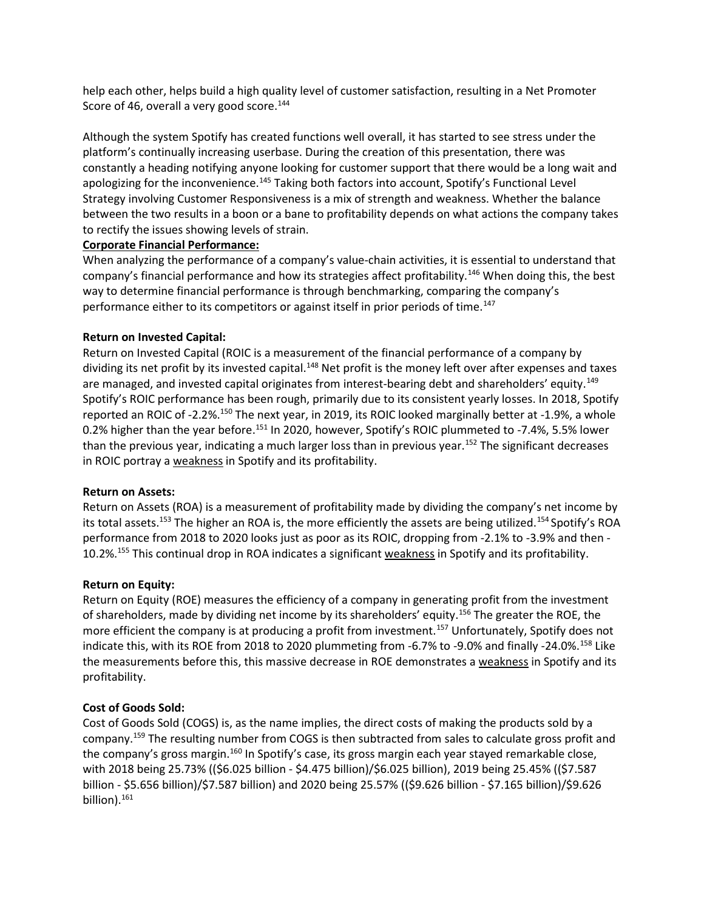help each other, helps build a high quality level of customer satisfaction, resulting in a Net Promoter Score of 46, overall a very good score. $144$ 

Although the system Spotify has created functions well overall, it has started to see stress under the platform's continually increasing userbase. During the creation of this presentation, there was constantly a heading notifying anyone looking for customer support that there would be a long wait and apologizing for the inconvenience.<sup>145</sup> Taking both factors into account, Spotify's Functional Level Strategy involving Customer Responsiveness is a mix of strength and weakness. Whether the balance between the two results in a boon or a bane to profitability depends on what actions the company takes to rectify the issues showing levels of strain.

## Corporate Financial Performance:

When analyzing the performance of a company's value-chain activities, it is essential to understand that company's financial performance and how its strategies affect profitability.<sup>146</sup> When doing this, the best way to determine financial performance is through benchmarking, comparing the company's performance either to its competitors or against itself in prior periods of time.<sup>147</sup>

## Return on Invested Capital:

Return on Invested Capital (ROIC is a measurement of the financial performance of a company by dividing its net profit by its invested capital.<sup>148</sup> Net profit is the money left over after expenses and taxes are managed, and invested capital originates from interest-bearing debt and shareholders' equity.<sup>149</sup> Spotify's ROIC performance has been rough, primarily due to its consistent yearly losses. In 2018, Spotify reported an ROIC of -2.2%.<sup>150</sup> The next year, in 2019, its ROIC looked marginally better at -1.9%, a whole 0.2% higher than the year before.<sup>151</sup> In 2020, however, Spotify's ROIC plummeted to -7.4%, 5.5% lower than the previous year, indicating a much larger loss than in previous year.<sup>152</sup> The significant decreases in ROIC portray a weakness in Spotify and its profitability.

## Return on Assets:

Return on Assets (ROA) is a measurement of profitability made by dividing the company's net income by its total assets.<sup>153</sup> The higher an ROA is, the more efficiently the assets are being utilized.<sup>154</sup> Spotify's ROA performance from 2018 to 2020 looks just as poor as its ROIC, dropping from -2.1% to -3.9% and then - 10.2%.<sup>155</sup> This continual drop in ROA indicates a significant weakness in Spotify and its profitability.

## Return on Equity:

Return on Equity (ROE) measures the efficiency of a company in generating profit from the investment of shareholders, made by dividing net income by its shareholders' equity.<sup>156</sup> The greater the ROE, the more efficient the company is at producing a profit from investment.<sup>157</sup> Unfortunately, Spotify does not indicate this, with its ROE from 2018 to 2020 plummeting from -6.7% to -9.0% and finally -24.0%.<sup>158</sup> Like the measurements before this, this massive decrease in ROE demonstrates a weakness in Spotify and its profitability.

## Cost of Goods Sold:

Cost of Goods Sold (COGS) is, as the name implies, the direct costs of making the products sold by a company.<sup>159</sup> The resulting number from COGS is then subtracted from sales to calculate gross profit and the company's gross margin.<sup>160</sup> In Spotify's case, its gross margin each year stayed remarkable close, with 2018 being 25.73% ((\$6.025 billion - \$4.475 billion)/\$6.025 billion), 2019 being 25.45% ((\$7.587 billion - \$5.656 billion)/\$7.587 billion) and 2020 being 25.57% ((\$9.626 billion - \$7.165 billion)/\$9.626 billion).<sup>161</sup>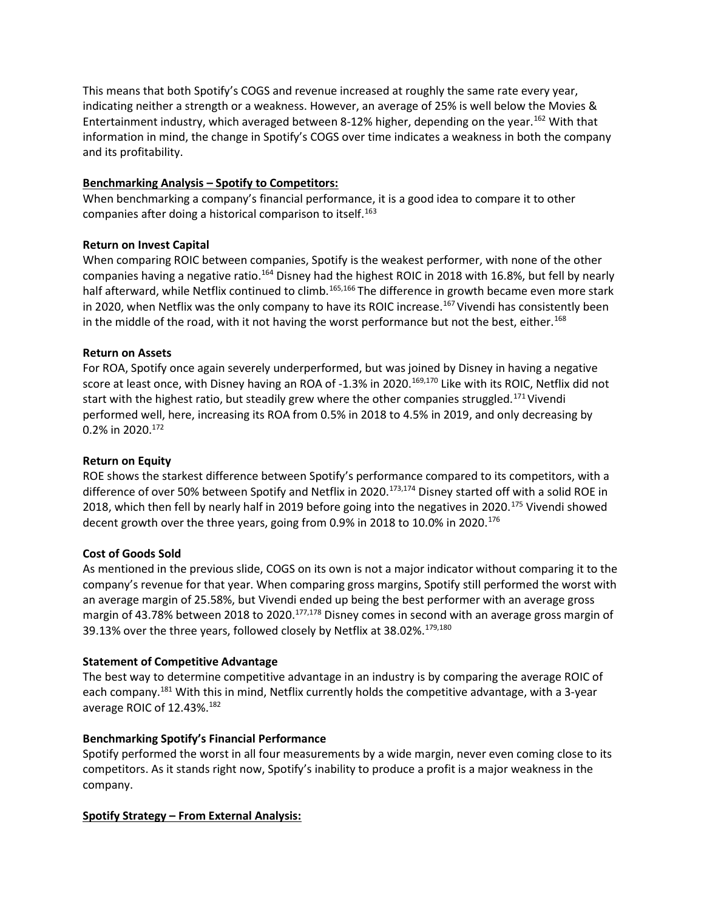This means that both Spotify's COGS and revenue increased at roughly the same rate every year, indicating neither a strength or a weakness. However, an average of 25% is well below the Movies & Entertainment industry, which averaged between 8-12% higher, depending on the year.<sup>162</sup> With that information in mind, the change in Spotify's COGS over time indicates a weakness in both the company and its profitability.

## Benchmarking Analysis – Spotify to Competitors:

When benchmarking a company's financial performance, it is a good idea to compare it to other companies after doing a historical comparison to itself.<sup>163</sup>

# Return on Invest Capital

When comparing ROIC between companies, Spotify is the weakest performer, with none of the other companies having a negative ratio.<sup>164</sup> Disney had the highest ROIC in 2018 with 16.8%, but fell by nearly half afterward, while Netflix continued to climb.<sup>165,166</sup> The difference in growth became even more stark in 2020, when Netflix was the only company to have its ROIC increase.<sup>167</sup> Vivendi has consistently been in the middle of the road, with it not having the worst performance but not the best, either.<sup>168</sup>

# Return on Assets

For ROA, Spotify once again severely underperformed, but was joined by Disney in having a negative score at least once, with Disney having an ROA of -1.3% in 2020.<sup>169,170</sup> Like with its ROIC, Netflix did not start with the highest ratio, but steadily grew where the other companies struggled.<sup>171</sup> Vivendi performed well, here, increasing its ROA from 0.5% in 2018 to 4.5% in 2019, and only decreasing by 0.2% in 2020.<sup>172</sup>

# Return on Equity

ROE shows the starkest difference between Spotify's performance compared to its competitors, with a difference of over 50% between Spotify and Netflix in 2020.<sup>173,174</sup> Disney started off with a solid ROE in 2018, which then fell by nearly half in 2019 before going into the negatives in 2020.<sup>175</sup> Vivendi showed decent growth over the three years, going from 0.9% in 2018 to 10.0% in 2020.<sup>176</sup>

## Cost of Goods Sold

As mentioned in the previous slide, COGS on its own is not a major indicator without comparing it to the company's revenue for that year. When comparing gross margins, Spotify still performed the worst with an average margin of 25.58%, but Vivendi ended up being the best performer with an average gross margin of 43.78% between 2018 to 2020.<sup>177,178</sup> Disney comes in second with an average gross margin of 39.13% over the three years, followed closely by Netflix at 38.02%.<sup>179,180</sup>

# Statement of Competitive Advantage

The best way to determine competitive advantage in an industry is by comparing the average ROIC of each company.<sup>181</sup> With this in mind, Netflix currently holds the competitive advantage, with a 3-year average ROIC of 12.43%.<sup>182</sup>

# Benchmarking Spotify's Financial Performance

Spotify performed the worst in all four measurements by a wide margin, never even coming close to its competitors. As it stands right now, Spotify's inability to produce a profit is a major weakness in the company.

# Spotify Strategy – From External Analysis: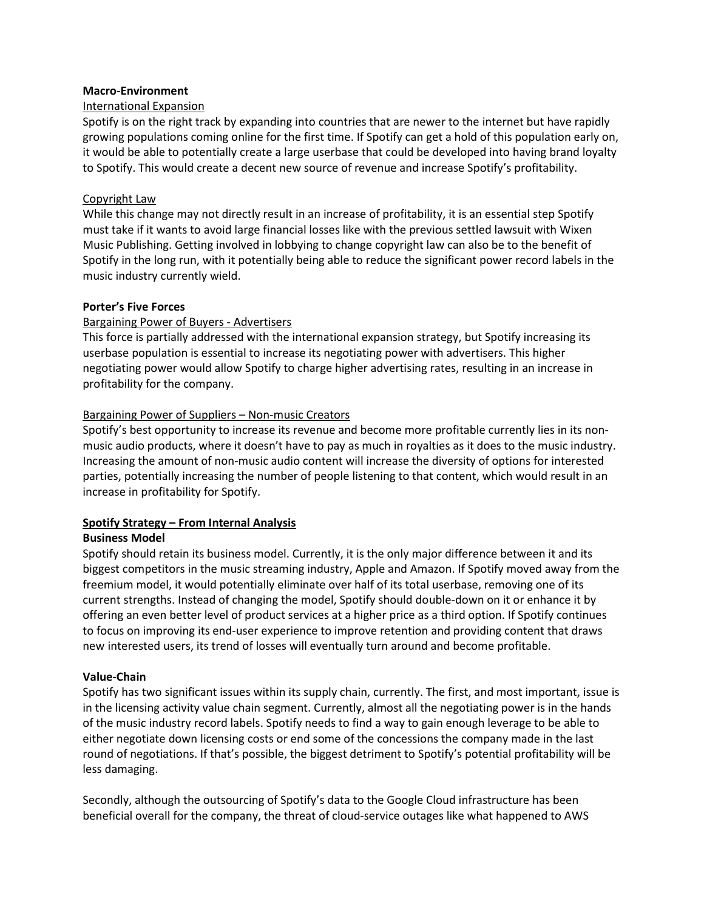### Macro-Environment

## International Expansion

Spotify is on the right track by expanding into countries that are newer to the internet but have rapidly growing populations coming online for the first time. If Spotify can get a hold of this population early on, it would be able to potentially create a large userbase that could be developed into having brand loyalty to Spotify. This would create a decent new source of revenue and increase Spotify's profitability.

## Copyright Law

While this change may not directly result in an increase of profitability, it is an essential step Spotify must take if it wants to avoid large financial losses like with the previous settled lawsuit with Wixen Music Publishing. Getting involved in lobbying to change copyright law can also be to the benefit of Spotify in the long run, with it potentially being able to reduce the significant power record labels in the music industry currently wield.

# Porter's Five Forces

# Bargaining Power of Buyers - Advertisers

This force is partially addressed with the international expansion strategy, but Spotify increasing its userbase population is essential to increase its negotiating power with advertisers. This higher negotiating power would allow Spotify to charge higher advertising rates, resulting in an increase in profitability for the company.

# Bargaining Power of Suppliers – Non-music Creators

Spotify's best opportunity to increase its revenue and become more profitable currently lies in its nonmusic audio products, where it doesn't have to pay as much in royalties as it does to the music industry. Increasing the amount of non-music audio content will increase the diversity of options for interested parties, potentially increasing the number of people listening to that content, which would result in an increase in profitability for Spotify.

## Spotify Strategy – From Internal Analysis

## Business Model

Spotify should retain its business model. Currently, it is the only major difference between it and its biggest competitors in the music streaming industry, Apple and Amazon. If Spotify moved away from the freemium model, it would potentially eliminate over half of its total userbase, removing one of its current strengths. Instead of changing the model, Spotify should double-down on it or enhance it by offering an even better level of product services at a higher price as a third option. If Spotify continues to focus on improving its end-user experience to improve retention and providing content that draws new interested users, its trend of losses will eventually turn around and become profitable.

## Value-Chain

Spotify has two significant issues within its supply chain, currently. The first, and most important, issue is in the licensing activity value chain segment. Currently, almost all the negotiating power is in the hands of the music industry record labels. Spotify needs to find a way to gain enough leverage to be able to either negotiate down licensing costs or end some of the concessions the company made in the last round of negotiations. If that's possible, the biggest detriment to Spotify's potential profitability will be less damaging.

Secondly, although the outsourcing of Spotify's data to the Google Cloud infrastructure has been beneficial overall for the company, the threat of cloud-service outages like what happened to AWS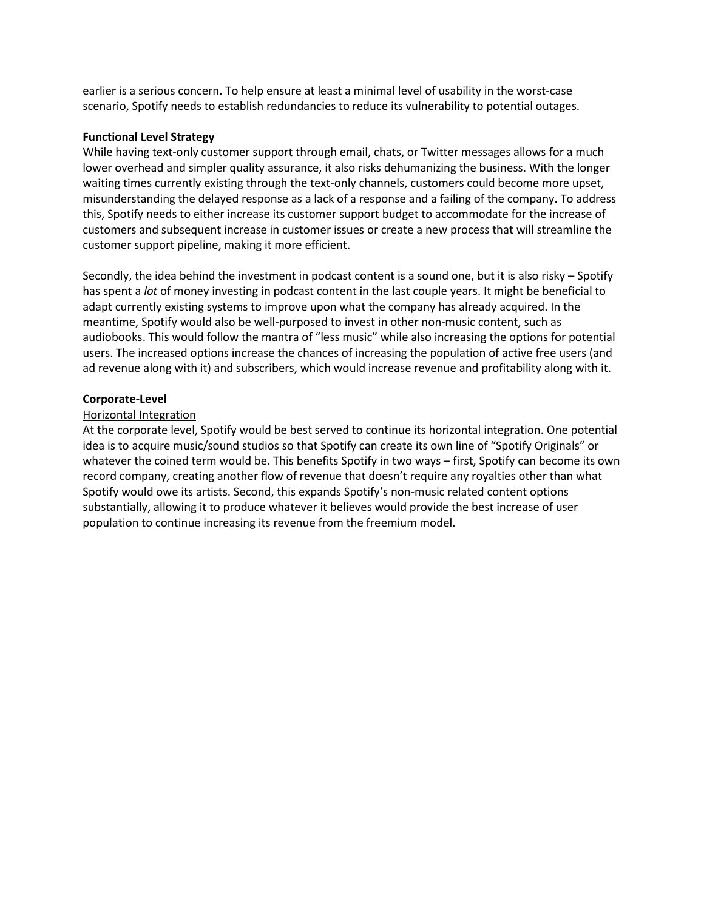earlier is a serious concern. To help ensure at least a minimal level of usability in the worst-case scenario, Spotify needs to establish redundancies to reduce its vulnerability to potential outages.

#### Functional Level Strategy

While having text-only customer support through email, chats, or Twitter messages allows for a much lower overhead and simpler quality assurance, it also risks dehumanizing the business. With the longer waiting times currently existing through the text-only channels, customers could become more upset, misunderstanding the delayed response as a lack of a response and a failing of the company. To address this, Spotify needs to either increase its customer support budget to accommodate for the increase of customers and subsequent increase in customer issues or create a new process that will streamline the customer support pipeline, making it more efficient.

Secondly, the idea behind the investment in podcast content is a sound one, but it is also risky – Spotify has spent a *lot* of money investing in podcast content in the last couple years. It might be beneficial to adapt currently existing systems to improve upon what the company has already acquired. In the meantime, Spotify would also be well-purposed to invest in other non-music content, such as audiobooks. This would follow the mantra of "less music" while also increasing the options for potential users. The increased options increase the chances of increasing the population of active free users (and ad revenue along with it) and subscribers, which would increase revenue and profitability along with it.

### Corporate-Level

### Horizontal Integration

At the corporate level, Spotify would be best served to continue its horizontal integration. One potential idea is to acquire music/sound studios so that Spotify can create its own line of "Spotify Originals" or whatever the coined term would be. This benefits Spotify in two ways – first, Spotify can become its own record company, creating another flow of revenue that doesn't require any royalties other than what Spotify would owe its artists. Second, this expands Spotify's non-music related content options substantially, allowing it to produce whatever it believes would provide the best increase of user population to continue increasing its revenue from the freemium model.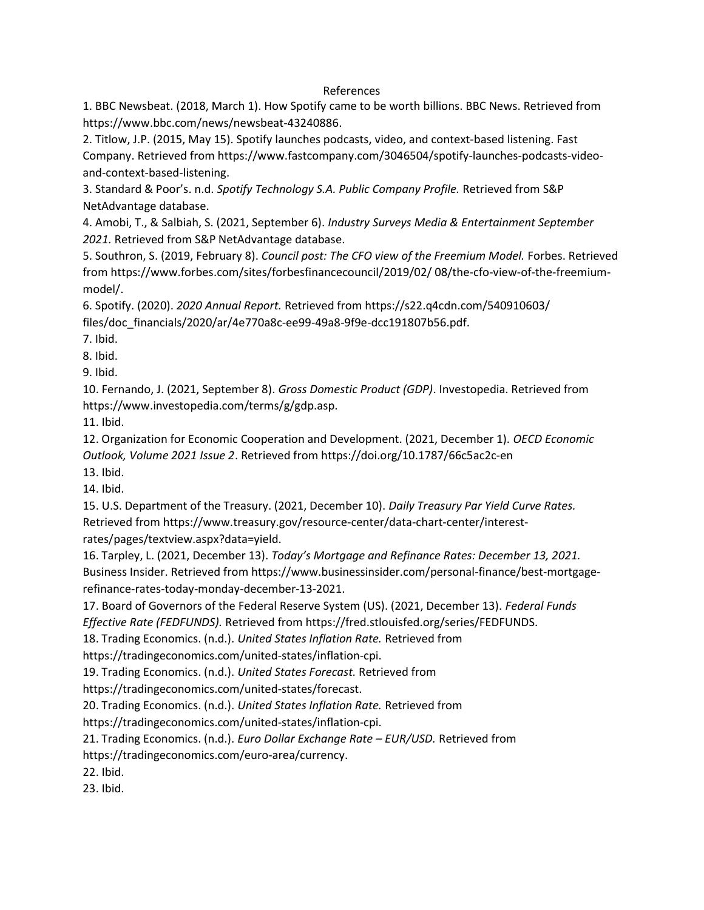### References

1. BBC Newsbeat. (2018, March 1). How Spotify came to be worth billions. BBC News. Retrieved from https://www.bbc.com/news/newsbeat-43240886.

2. Titlow, J.P. (2015, May 15). Spotify launches podcasts, video, and context-based listening. Fast Company. Retrieved from https://www.fastcompany.com/3046504/spotify-launches-podcasts-videoand-context-based-listening.

3. Standard & Poor's. n.d. Spotify Technology S.A. Public Company Profile. Retrieved from S&P NetAdvantage database.

4. Amobi, T., & Salbiah, S. (2021, September 6). Industry Surveys Media & Entertainment September 2021. Retrieved from S&P NetAdvantage database.

5. Southron, S. (2019, February 8). Council post: The CFO view of the Freemium Model. Forbes. Retrieved from https://www.forbes.com/sites/forbesfinancecouncil/2019/02/ 08/the-cfo-view-of-the-freemiummodel/.

6. Spotify. (2020). 2020 Annual Report. Retrieved from https://s22.q4cdn.com/540910603/ files/doc\_financials/2020/ar/4e770a8c-ee99-49a8-9f9e-dcc191807b56.pdf.

7. Ibid.

8. Ibid.

9. Ibid.

10. Fernando, J. (2021, September 8). Gross Domestic Product (GDP). Investopedia. Retrieved from https://www.investopedia.com/terms/g/gdp.asp.

11. Ibid.

12. Organization for Economic Cooperation and Development. (2021, December 1). OECD Economic Outlook, Volume 2021 Issue 2. Retrieved from https://doi.org/10.1787/66c5ac2c-en

13. Ibid.

14. Ibid.

15. U.S. Department of the Treasury. (2021, December 10). Daily Treasury Par Yield Curve Rates. Retrieved from https://www.treasury.gov/resource-center/data-chart-center/interestrates/pages/textview.aspx?data=yield.

16. Tarpley, L. (2021, December 13). Today's Mortgage and Refinance Rates: December 13, 2021. Business Insider. Retrieved from https://www.businessinsider.com/personal-finance/best-mortgagerefinance-rates-today-monday-december-13-2021.

17. Board of Governors of the Federal Reserve System (US). (2021, December 13). Federal Funds Effective Rate (FEDFUNDS). Retrieved from https://fred.stlouisfed.org/series/FEDFUNDS.

18. Trading Economics. (n.d.). United States Inflation Rate. Retrieved from

https://tradingeconomics.com/united-states/inflation-cpi.

19. Trading Economics. (n.d.). United States Forecast. Retrieved from

https://tradingeconomics.com/united-states/forecast.

20. Trading Economics. (n.d.). United States Inflation Rate. Retrieved from

https://tradingeconomics.com/united-states/inflation-cpi.

21. Trading Economics. (n.d.). Euro Dollar Exchange Rate - EUR/USD. Retrieved from

https://tradingeconomics.com/euro-area/currency.

22. Ibid.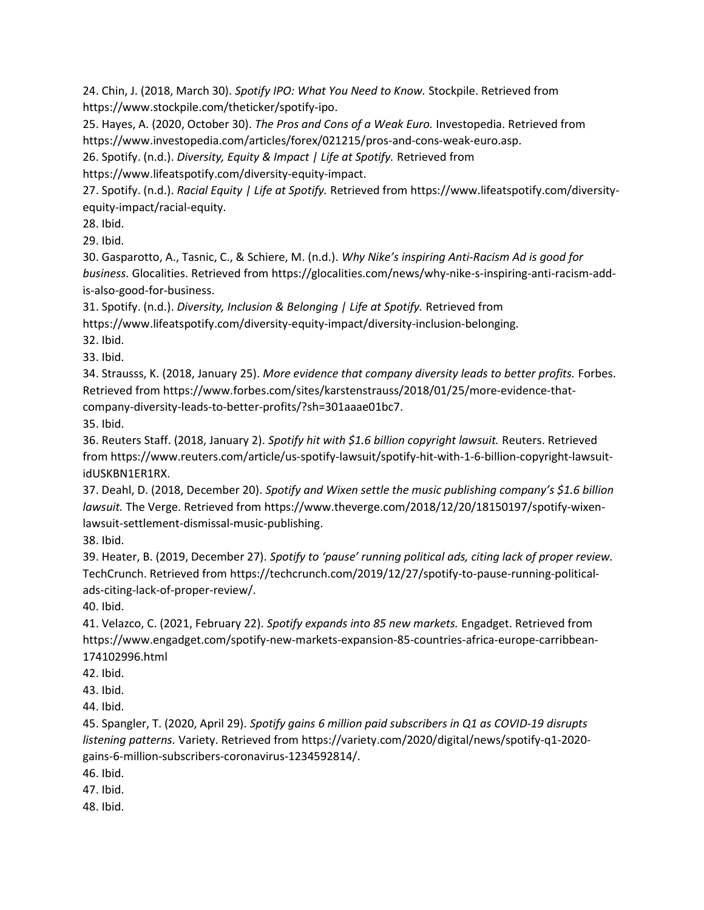24. Chin, J. (2018, March 30). Spotify IPO: What You Need to Know. Stockpile. Retrieved from https://www.stockpile.com/theticker/spotify-ipo.

25. Hayes, A. (2020, October 30). The Pros and Cons of a Weak Euro. Investopedia. Retrieved from https://www.investopedia.com/articles/forex/021215/pros-and-cons-weak-euro.asp.

26. Spotify. (n.d.). Diversity, Equity & Impact | Life at Spotify. Retrieved from

https://www.lifeatspotify.com/diversity-equity-impact.

27. Spotify. (n.d.). Racial Equity | Life at Spotify. Retrieved from https://www.lifeatspotify.com/diversityequity-impact/racial-equity.

28. Ibid.

29. Ibid.

30. Gasparotto, A., Tasnic, C., & Schiere, M. (n.d.). Why Nike's inspiring Anti-Racism Ad is good for business. Glocalities. Retrieved from https://glocalities.com/news/why-nike-s-inspiring-anti-racism-addis-also-good-for-business.

31. Spotify. (n.d.). Diversity, Inclusion & Belonging | Life at Spotify. Retrieved from https://www.lifeatspotify.com/diversity-equity-impact/diversity-inclusion-belonging.

32. Ibid.

33. Ibid.

34. Strausss, K. (2018, January 25). More evidence that company diversity leads to better profits. Forbes. Retrieved from https://www.forbes.com/sites/karstenstrauss/2018/01/25/more-evidence-thatcompany-diversity-leads-to-better-profits/?sh=301aaae01bc7.

35. Ibid.

36. Reuters Staff. (2018, January 2). Spotify hit with \$1.6 billion copyright lawsuit. Reuters. Retrieved from https://www.reuters.com/article/us-spotify-lawsuit/spotify-hit-with-1-6-billion-copyright-lawsuitidUSKBN1ER1RX.

37. Deahl, D. (2018, December 20). Spotify and Wixen settle the music publishing company's \$1.6 billion lawsuit. The Verge. Retrieved from https://www.theverge.com/2018/12/20/18150197/spotify-wixenlawsuit-settlement-dismissal-music-publishing.

38. Ibid.

39. Heater, B. (2019, December 27). Spotify to 'pause' running political ads, citing lack of proper review. TechCrunch. Retrieved from https://techcrunch.com/2019/12/27/spotify-to-pause-running-politicalads-citing-lack-of-proper-review/.

40. Ibid.

41. Velazco, C. (2021, February 22). Spotify expands into 85 new markets. Engadget. Retrieved from https://www.engadget.com/spotify-new-markets-expansion-85-countries-africa-europe-carribbean-174102996.html

42. Ibid.

43. Ibid.

44. Ibid.

45. Spangler, T. (2020, April 29). Spotify gains 6 million paid subscribers in Q1 as COVID-19 disrupts listening patterns. Variety. Retrieved from https://variety.com/2020/digital/news/spotify-q1-2020 gains-6-million-subscribers-coronavirus-1234592814/.

46. Ibid.

47. Ibid.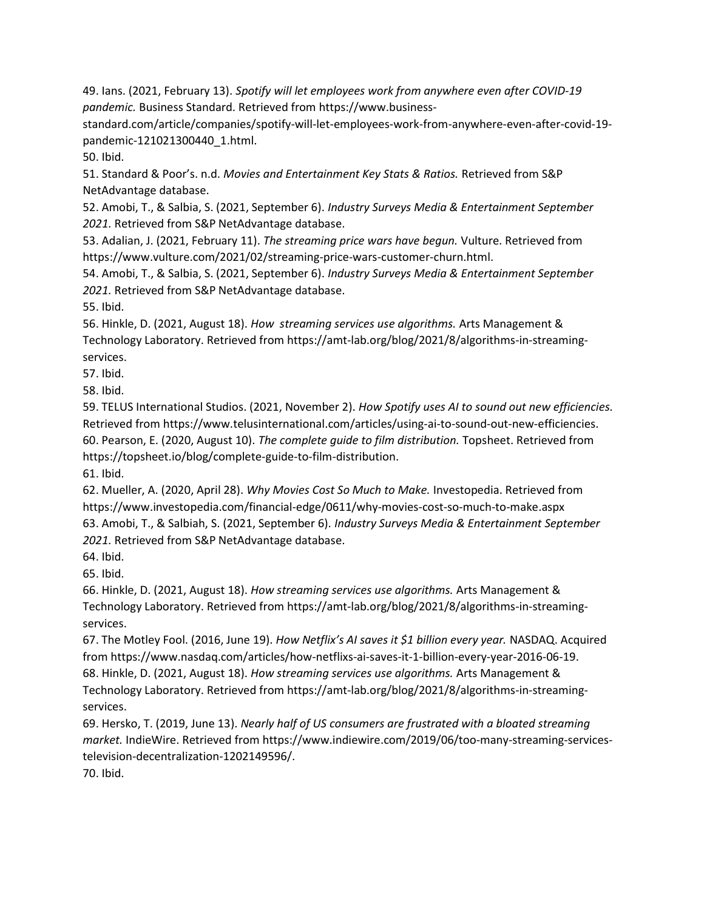49. Ians. (2021, February 13). Spotify will let employees work from anywhere even after COVID-19 pandemic. Business Standard. Retrieved from https://www.business-

standard.com/article/companies/spotify-will-let-employees-work-from-anywhere-even-after-covid-19 pandemic-121021300440\_1.html.

50. Ibid.

51. Standard & Poor's. n.d. Movies and Entertainment Key Stats & Ratios. Retrieved from S&P NetAdvantage database.

52. Amobi, T., & Salbia, S. (2021, September 6). Industry Surveys Media & Entertainment September 2021. Retrieved from S&P NetAdvantage database.

53. Adalian, J. (2021, February 11). The streaming price wars have begun. Vulture. Retrieved from https://www.vulture.com/2021/02/streaming-price-wars-customer-churn.html.

54. Amobi, T., & Salbia, S. (2021, September 6). Industry Surveys Media & Entertainment September 2021. Retrieved from S&P NetAdvantage database.

55. Ibid.

56. Hinkle, D. (2021, August 18). How streaming services use algorithms. Arts Management & Technology Laboratory. Retrieved from https://amt-lab.org/blog/2021/8/algorithms-in-streamingservices.

57. Ibid.

58. Ibid.

59. TELUS International Studios. (2021, November 2). How Spotify uses AI to sound out new efficiencies. Retrieved from https://www.telusinternational.com/articles/using-ai-to-sound-out-new-efficiencies. 60. Pearson, E. (2020, August 10). The complete guide to film distribution. Topsheet. Retrieved from https://topsheet.io/blog/complete-guide-to-film-distribution.

61. Ibid.

62. Mueller, A. (2020, April 28). Why Movies Cost So Much to Make. Investopedia. Retrieved from https://www.investopedia.com/financial-edge/0611/why-movies-cost-so-much-to-make.aspx 63. Amobi, T., & Salbiah, S. (2021, September 6). Industry Surveys Media & Entertainment September 2021. Retrieved from S&P NetAdvantage database.

64. Ibid.

65. Ibid.

66. Hinkle, D. (2021, August 18). How streaming services use algorithms. Arts Management & Technology Laboratory. Retrieved from https://amt-lab.org/blog/2021/8/algorithms-in-streamingservices.

67. The Motley Fool. (2016, June 19). How Netflix's AI saves it \$1 billion every year. NASDAQ. Acquired from https://www.nasdaq.com/articles/how-netflixs-ai-saves-it-1-billion-every-year-2016-06-19. 68. Hinkle, D. (2021, August 18). How streaming services use algorithms. Arts Management & Technology Laboratory. Retrieved from https://amt-lab.org/blog/2021/8/algorithms-in-streamingservices.

69. Hersko, T. (2019, June 13). Nearly half of US consumers are frustrated with a bloated streaming market. IndieWire. Retrieved from https://www.indiewire.com/2019/06/too-many-streaming-servicestelevision-decentralization-1202149596/.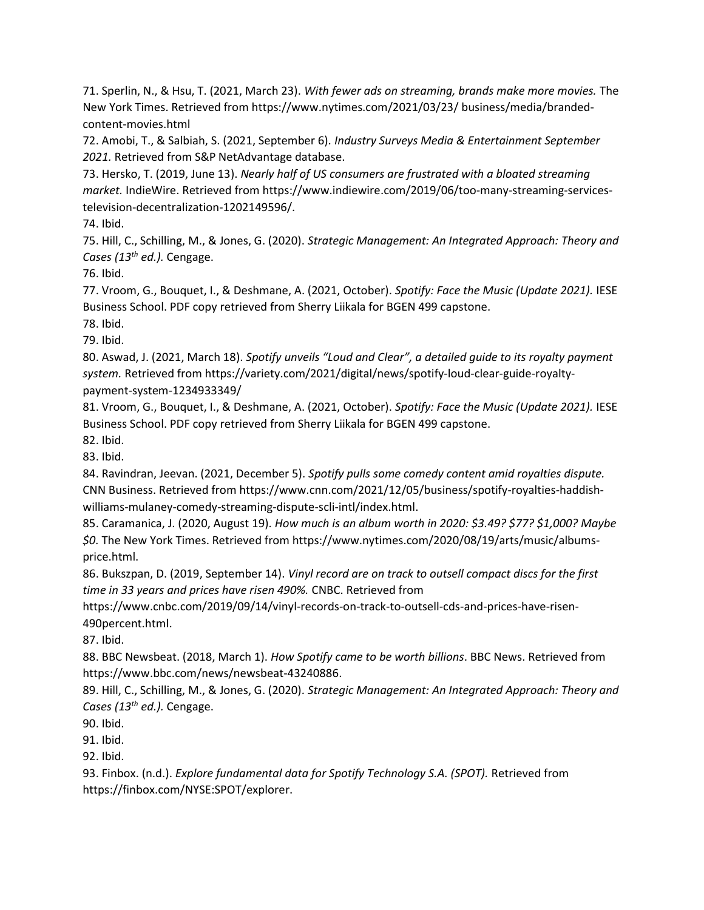71. Sperlin, N., & Hsu, T. (2021, March 23). With fewer ads on streaming, brands make more movies. The New York Times. Retrieved from https://www.nytimes.com/2021/03/23/ business/media/brandedcontent-movies.html

72. Amobi, T., & Salbiah, S. (2021, September 6). Industry Surveys Media & Entertainment September 2021. Retrieved from S&P NetAdvantage database.

73. Hersko, T. (2019, June 13). Nearly half of US consumers are frustrated with a bloated streaming market. IndieWire. Retrieved from https://www.indiewire.com/2019/06/too-many-streaming-servicestelevision-decentralization-1202149596/.

74. Ibid.

75. Hill, C., Schilling, M., & Jones, G. (2020). Strategic Management: An Integrated Approach: Theory and Cases (13<sup>th</sup> ed.). Cengage.

76. Ibid.

77. Vroom, G., Bouquet, I., & Deshmane, A. (2021, October). Spotify: Face the Music (Update 2021). IESE Business School. PDF copy retrieved from Sherry Liikala for BGEN 499 capstone.

78. Ibid.

79. Ibid.

80. Aswad, J. (2021, March 18). Spotify unveils "Loud and Clear", a detailed guide to its royalty payment system. Retrieved from https://variety.com/2021/digital/news/spotify-loud-clear-guide-royaltypayment-system-1234933349/

81. Vroom, G., Bouquet, I., & Deshmane, A. (2021, October). Spotify: Face the Music (Update 2021). IESE Business School. PDF copy retrieved from Sherry Liikala for BGEN 499 capstone.

82. Ibid.

83. Ibid.

84. Ravindran, Jeevan. (2021, December 5). Spotify pulls some comedy content amid royalties dispute. CNN Business. Retrieved from https://www.cnn.com/2021/12/05/business/spotify-royalties-haddishwilliams-mulaney-comedy-streaming-dispute-scli-intl/index.html.

85. Caramanica, J. (2020, August 19). How much is an album worth in 2020: \$3.49? \$77? \$1,000? Maybe \$0. The New York Times. Retrieved from https://www.nytimes.com/2020/08/19/arts/music/albumsprice.html.

86. Bukszpan, D. (2019, September 14). Vinyl record are on track to outsell compact discs for the first time in 33 years and prices have risen 490%. CNBC. Retrieved from

https://www.cnbc.com/2019/09/14/vinyl-records-on-track-to-outsell-cds-and-prices-have-risen-490percent.html.

87. Ibid.

88. BBC Newsbeat. (2018, March 1). How Spotify came to be worth billions. BBC News. Retrieved from https://www.bbc.com/news/newsbeat-43240886.

89. Hill, C., Schilling, M., & Jones, G. (2020). Strategic Management: An Integrated Approach: Theory and Cases (13<sup>th</sup> ed.). Cengage.

90. Ibid.

91. Ibid.

92. Ibid.

93. Finbox. (n.d.). Explore fundamental data for Spotify Technology S.A. (SPOT). Retrieved from https://finbox.com/NYSE:SPOT/explorer.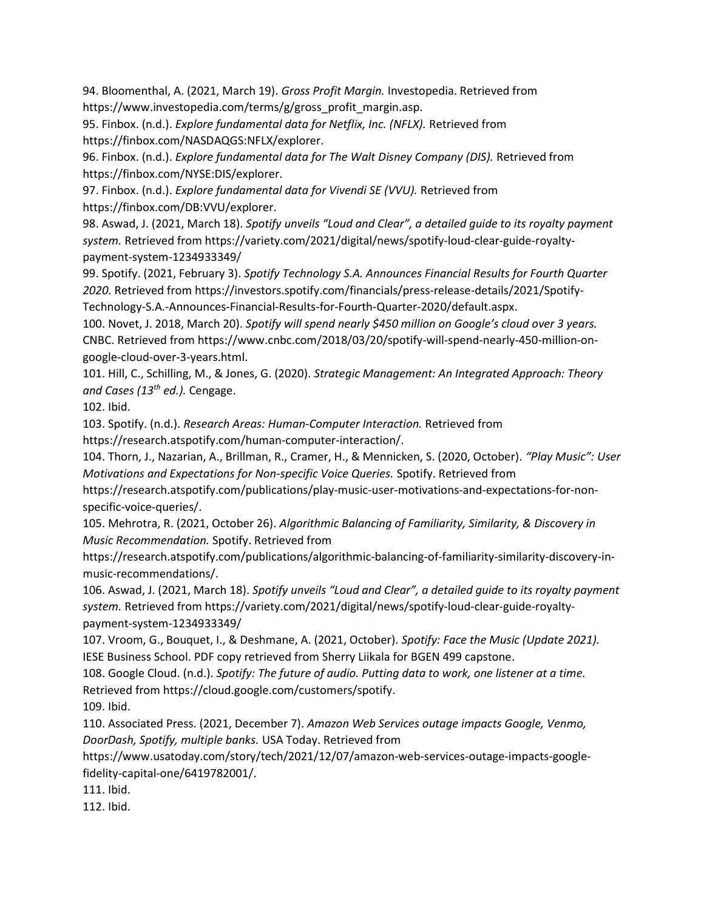94. Bloomenthal, A. (2021, March 19). Gross Profit Margin. Investopedia. Retrieved from https://www.investopedia.com/terms/g/gross\_profit\_margin.asp.

95. Finbox. (n.d.). Explore fundamental data for Netflix, Inc. (NFLX). Retrieved from https://finbox.com/NASDAQGS:NFLX/explorer.

96. Finbox. (n.d.). Explore fundamental data for The Walt Disney Company (DIS). Retrieved from https://finbox.com/NYSE:DIS/explorer.

97. Finbox. (n.d.). Explore fundamental data for Vivendi SE (VVU). Retrieved from https://finbox.com/DB:VVU/explorer.

98. Aswad, J. (2021, March 18). Spotify unveils "Loud and Clear", a detailed guide to its royalty payment system. Retrieved from https://variety.com/2021/digital/news/spotify-loud-clear-guide-royaltypayment-system-1234933349/

99. Spotify. (2021, February 3). Spotify Technology S.A. Announces Financial Results for Fourth Quarter 2020. Retrieved from https://investors.spotify.com/financials/press-release-details/2021/Spotify-Technology-S.A.-Announces-Financial-Results-for-Fourth-Quarter-2020/default.aspx.

100. Novet, J. 2018, March 20). Spotify will spend nearly \$450 million on Google's cloud over 3 years. CNBC. Retrieved from https://www.cnbc.com/2018/03/20/spotify-will-spend-nearly-450-million-ongoogle-cloud-over-3-years.html.

101. Hill, C., Schilling, M., & Jones, G. (2020). Strategic Management: An Integrated Approach: Theory and Cases (13<sup>th</sup> ed.). Cengage.

102. Ibid.

103. Spotify. (n.d.). Research Areas: Human-Computer Interaction. Retrieved from https://research.atspotify.com/human-computer-interaction/.

104. Thorn, J., Nazarian, A., Brillman, R., Cramer, H., & Mennicken, S. (2020, October). "Play Music": User Motivations and Expectations for Non-specific Voice Queries. Spotify. Retrieved from

https://research.atspotify.com/publications/play-music-user-motivations-and-expectations-for-nonspecific-voice-queries/.

105. Mehrotra, R. (2021, October 26). Algorithmic Balancing of Familiarity, Similarity, & Discovery in Music Recommendation. Spotify. Retrieved from

https://research.atspotify.com/publications/algorithmic-balancing-of-familiarity-similarity-discovery-inmusic-recommendations/.

106. Aswad, J. (2021, March 18). Spotify unveils "Loud and Clear", a detailed guide to its royalty payment system. Retrieved from https://variety.com/2021/digital/news/spotify-loud-clear-guide-royaltypayment-system-1234933349/

107. Vroom, G., Bouquet, I., & Deshmane, A. (2021, October). Spotify: Face the Music (Update 2021). IESE Business School. PDF copy retrieved from Sherry Liikala for BGEN 499 capstone.

108. Google Cloud. (n.d.). Spotify: The future of audio. Putting data to work, one listener at a time. Retrieved from https://cloud.google.com/customers/spotify.

109. Ibid.

110. Associated Press. (2021, December 7). Amazon Web Services outage impacts Google, Venmo, DoorDash, Spotify, multiple banks. USA Today. Retrieved from

https://www.usatoday.com/story/tech/2021/12/07/amazon-web-services-outage-impacts-googlefidelity-capital-one/6419782001/.

111. Ibid.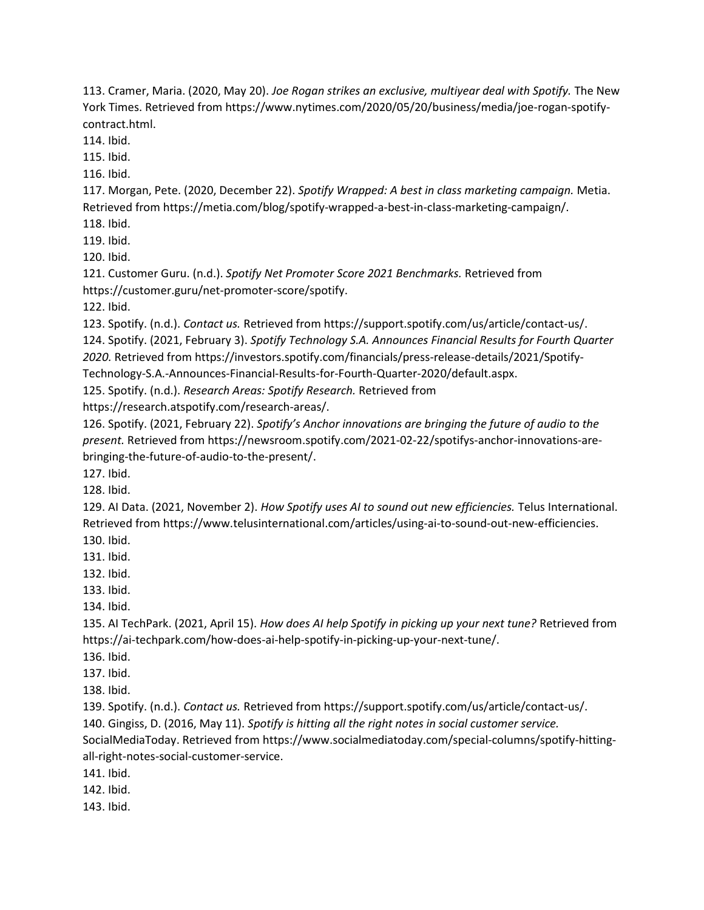113. Cramer, Maria. (2020, May 20). Joe Rogan strikes an exclusive, multiyear deal with Spotify. The New York Times. Retrieved from https://www.nytimes.com/2020/05/20/business/media/joe-rogan-spotifycontract.html.

114. Ibid.

115. Ibid.

116. Ibid.

117. Morgan, Pete. (2020, December 22). Spotify Wrapped: A best in class marketing campaign. Metia. Retrieved from https://metia.com/blog/spotify-wrapped-a-best-in-class-marketing-campaign/.

118. Ibid.

119. Ibid.

120. Ibid.

121. Customer Guru. (n.d.). Spotify Net Promoter Score 2021 Benchmarks. Retrieved from https://customer.guru/net-promoter-score/spotify.

122. Ibid.

123. Spotify. (n.d.). Contact us. Retrieved from https://support.spotify.com/us/article/contact-us/.

124. Spotify. (2021, February 3). Spotify Technology S.A. Announces Financial Results for Fourth Quarter 2020. Retrieved from https://investors.spotify.com/financials/press-release-details/2021/Spotify-

Technology-S.A.-Announces-Financial-Results-for-Fourth-Quarter-2020/default.aspx.

125. Spotify. (n.d.). Research Areas: Spotify Research. Retrieved from

https://research.atspotify.com/research-areas/.

126. Spotify. (2021, February 22). Spotify's Anchor innovations are bringing the future of audio to the present. Retrieved from https://newsroom.spotify.com/2021-02-22/spotifys-anchor-innovations-arebringing-the-future-of-audio-to-the-present/.

127. Ibid.

128. Ibid.

129. AI Data. (2021, November 2). How Spotify uses AI to sound out new efficiencies. Telus International. Retrieved from https://www.telusinternational.com/articles/using-ai-to-sound-out-new-efficiencies.

130. Ibid.

131. Ibid.

132. Ibid.

133. Ibid.

134. Ibid.

135. AI TechPark. (2021, April 15). How does AI help Spotify in picking up your next tune? Retrieved from https://ai-techpark.com/how-does-ai-help-spotify-in-picking-up-your-next-tune/.

136. Ibid.

137. Ibid.

138. Ibid.

139. Spotify. (n.d.). Contact us. Retrieved from https://support.spotify.com/us/article/contact-us/.

140. Gingiss, D. (2016, May 11). Spotify is hitting all the right notes in social customer service.

SocialMediaToday. Retrieved from https://www.socialmediatoday.com/special-columns/spotify-hittingall-right-notes-social-customer-service.

141. Ibid.

142. Ibid.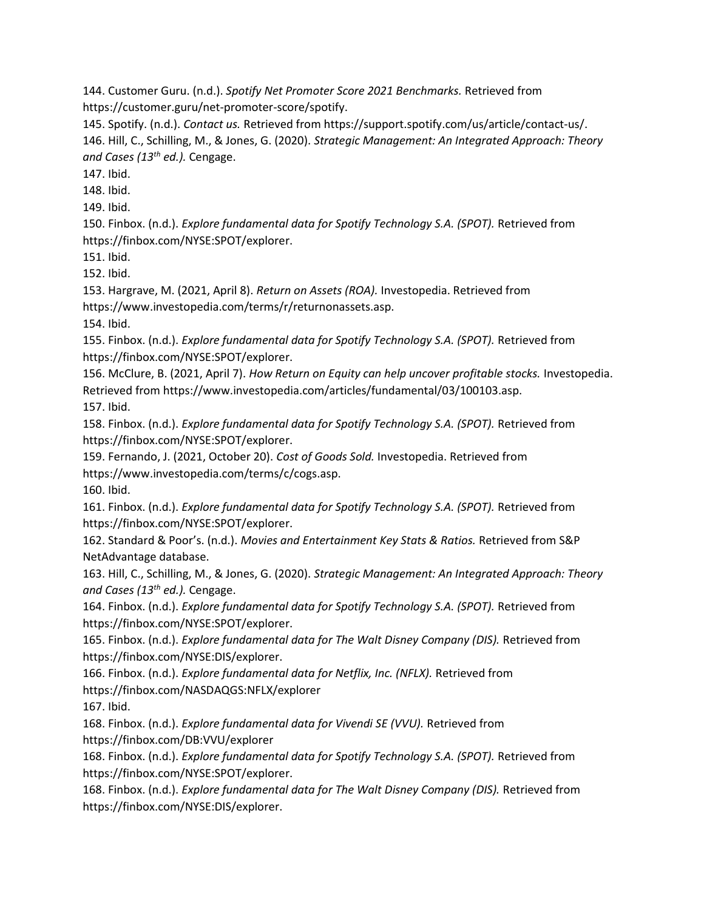144. Customer Guru. (n.d.). Spotify Net Promoter Score 2021 Benchmarks. Retrieved from https://customer.guru/net-promoter-score/spotify.

145. Spotify. (n.d.). Contact us. Retrieved from https://support.spotify.com/us/article/contact-us/. 146. Hill, C., Schilling, M., & Jones, G. (2020). Strategic Management: An Integrated Approach: Theory and Cases (13<sup>th</sup> ed.). Cengage.

147. Ibid.

148. Ibid.

149. Ibid.

150. Finbox. (n.d.). Explore fundamental data for Spotify Technology S.A. (SPOT). Retrieved from https://finbox.com/NYSE:SPOT/explorer.

151. Ibid.

152. Ibid.

153. Hargrave, M. (2021, April 8). Return on Assets (ROA). Investopedia. Retrieved from https://www.investopedia.com/terms/r/returnonassets.asp.

154. Ibid.

155. Finbox. (n.d.). Explore fundamental data for Spotify Technology S.A. (SPOT). Retrieved from https://finbox.com/NYSE:SPOT/explorer.

156. McClure, B. (2021, April 7). How Return on Equity can help uncover profitable stocks. Investopedia. Retrieved from https://www.investopedia.com/articles/fundamental/03/100103.asp.

157. Ibid.

158. Finbox. (n.d.). Explore fundamental data for Spotify Technology S.A. (SPOT). Retrieved from https://finbox.com/NYSE:SPOT/explorer.

159. Fernando, J. (2021, October 20). Cost of Goods Sold. Investopedia. Retrieved from https://www.investopedia.com/terms/c/cogs.asp.

160. Ibid.

161. Finbox. (n.d.). Explore fundamental data for Spotify Technology S.A. (SPOT). Retrieved from https://finbox.com/NYSE:SPOT/explorer.

162. Standard & Poor's. (n.d.). Movies and Entertainment Key Stats & Ratios. Retrieved from S&P NetAdvantage database.

163. Hill, C., Schilling, M., & Jones, G. (2020). Strategic Management: An Integrated Approach: Theory and Cases (13<sup>th</sup> ed.). Cengage.

164. Finbox. (n.d.). Explore fundamental data for Spotify Technology S.A. (SPOT). Retrieved from https://finbox.com/NYSE:SPOT/explorer.

165. Finbox. (n.d.). Explore fundamental data for The Walt Disney Company (DIS). Retrieved from https://finbox.com/NYSE:DIS/explorer.

166. Finbox. (n.d.). Explore fundamental data for Netflix, Inc. (NFLX). Retrieved from

https://finbox.com/NASDAQGS:NFLX/explorer

167. Ibid.

168. Finbox. (n.d.). Explore fundamental data for Vivendi SE (VVU). Retrieved from https://finbox.com/DB:VVU/explorer

168. Finbox. (n.d.). Explore fundamental data for Spotify Technology S.A. (SPOT). Retrieved from https://finbox.com/NYSE:SPOT/explorer.

168. Finbox. (n.d.). Explore fundamental data for The Walt Disney Company (DIS). Retrieved from https://finbox.com/NYSE:DIS/explorer.